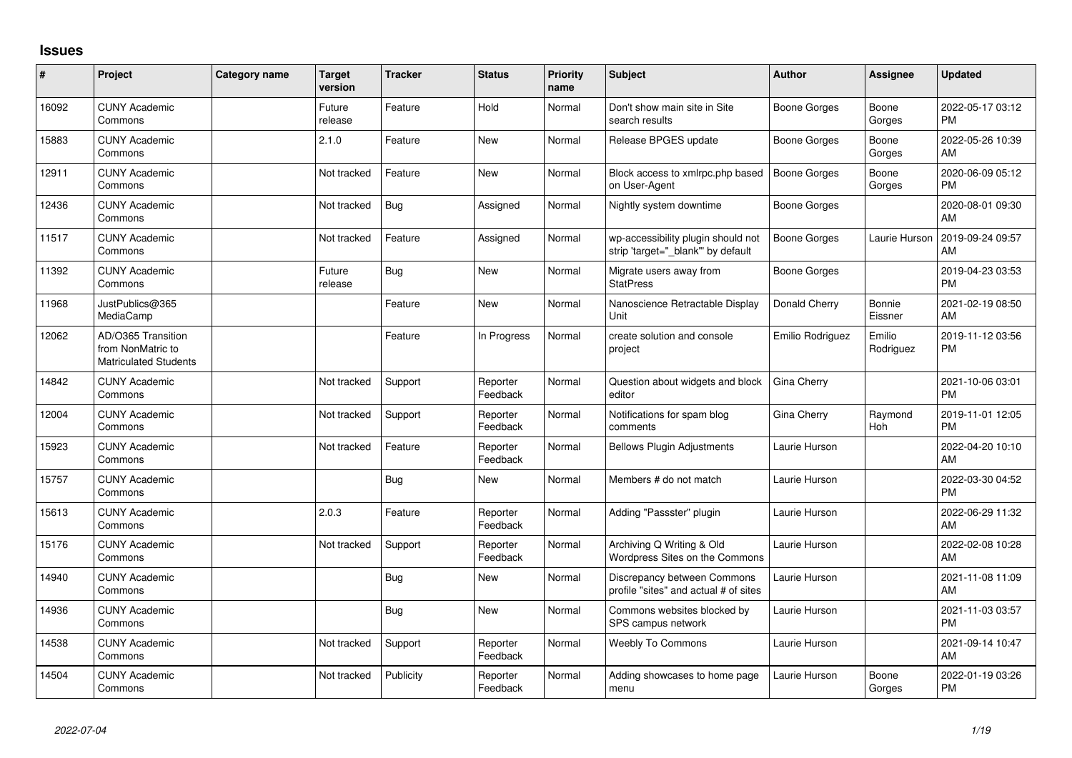## **Issues**

| #     | Project                                                                 | Category name | <b>Target</b><br>version | <b>Tracker</b> | <b>Status</b>        | Priority<br>name | <b>Subject</b>                                                          | <b>Author</b>    | <b>Assignee</b>     | <b>Updated</b>                |
|-------|-------------------------------------------------------------------------|---------------|--------------------------|----------------|----------------------|------------------|-------------------------------------------------------------------------|------------------|---------------------|-------------------------------|
| 16092 | <b>CUNY Academic</b><br>Commons                                         |               | Future<br>release        | Feature        | Hold                 | Normal           | Don't show main site in Site<br>search results                          | Boone Gorges     | Boone<br>Gorges     | 2022-05-17 03:12<br><b>PM</b> |
| 15883 | <b>CUNY Academic</b><br>Commons                                         |               | 2.1.0                    | Feature        | <b>New</b>           | Normal           | Release BPGES update                                                    | Boone Gorges     | Boone<br>Gorges     | 2022-05-26 10:39<br>AM        |
| 12911 | <b>CUNY Academic</b><br>Commons                                         |               | Not tracked              | Feature        | <b>New</b>           | Normal           | Block access to xmlrpc.php based<br>on User-Agent                       | Boone Gorges     | Boone<br>Gorges     | 2020-06-09 05:12<br><b>PM</b> |
| 12436 | <b>CUNY Academic</b><br>Commons                                         |               | Not tracked              | Bug            | Assigned             | Normal           | Nightly system downtime                                                 | Boone Gorges     |                     | 2020-08-01 09:30<br>AM        |
| 11517 | <b>CUNY Academic</b><br>Commons                                         |               | Not tracked              | Feature        | Assigned             | Normal           | wp-accessibility plugin should not<br>strip 'target=" blank" by default | Boone Gorges     | Laurie Hurson       | 2019-09-24 09:57<br>AM        |
| 11392 | <b>CUNY Academic</b><br>Commons                                         |               | Future<br>release        | Bug            | <b>New</b>           | Normal           | Migrate users away from<br><b>StatPress</b>                             | Boone Gorges     |                     | 2019-04-23 03:53<br><b>PM</b> |
| 11968 | JustPublics@365<br>MediaCamp                                            |               |                          | Feature        | <b>New</b>           | Normal           | Nanoscience Retractable Display<br>Unit                                 | Donald Cherry    | Bonnie<br>Eissner   | 2021-02-19 08:50<br>AM        |
| 12062 | AD/O365 Transition<br>from NonMatric to<br><b>Matriculated Students</b> |               |                          | Feature        | In Progress          | Normal           | create solution and console<br>project                                  | Emilio Rodriguez | Emilio<br>Rodriguez | 2019-11-12 03:56<br><b>PM</b> |
| 14842 | <b>CUNY Academic</b><br>Commons                                         |               | Not tracked              | Support        | Reporter<br>Feedback | Normal           | Question about widgets and block<br>editor                              | Gina Cherry      |                     | 2021-10-06 03:01<br><b>PM</b> |
| 12004 | <b>CUNY Academic</b><br>Commons                                         |               | Not tracked              | Support        | Reporter<br>Feedback | Normal           | Notifications for spam blog<br>comments                                 | Gina Cherry      | Raymond<br>Hoh      | 2019-11-01 12:05<br><b>PM</b> |
| 15923 | <b>CUNY Academic</b><br>Commons                                         |               | Not tracked              | Feature        | Reporter<br>Feedback | Normal           | <b>Bellows Plugin Adjustments</b>                                       | Laurie Hurson    |                     | 2022-04-20 10:10<br>AM        |
| 15757 | <b>CUNY Academic</b><br>Commons                                         |               |                          | <b>Bug</b>     | <b>New</b>           | Normal           | Members # do not match                                                  | Laurie Hurson    |                     | 2022-03-30 04:52<br><b>PM</b> |
| 15613 | <b>CUNY Academic</b><br>Commons                                         |               | 2.0.3                    | Feature        | Reporter<br>Feedback | Normal           | Adding "Passster" plugin                                                | Laurie Hurson    |                     | 2022-06-29 11:32<br>AM        |
| 15176 | <b>CUNY Academic</b><br>Commons                                         |               | Not tracked              | Support        | Reporter<br>Feedback | Normal           | Archiving Q Writing & Old<br>Wordpress Sites on the Commons             | Laurie Hurson    |                     | 2022-02-08 10:28<br>AM        |
| 14940 | <b>CUNY Academic</b><br>Commons                                         |               |                          | Bug            | New                  | Normal           | Discrepancy between Commons<br>profile "sites" and actual # of sites    | Laurie Hurson    |                     | 2021-11-08 11:09<br>AM        |
| 14936 | <b>CUNY Academic</b><br>Commons                                         |               |                          | Bug            | <b>New</b>           | Normal           | Commons websites blocked by<br>SPS campus network                       | Laurie Hurson    |                     | 2021-11-03 03:57<br><b>PM</b> |
| 14538 | <b>CUNY Academic</b><br>Commons                                         |               | Not tracked              | Support        | Reporter<br>Feedback | Normal           | Weebly To Commons                                                       | Laurie Hurson    |                     | 2021-09-14 10:47<br>AM        |
| 14504 | <b>CUNY Academic</b><br>Commons                                         |               | Not tracked              | Publicity      | Reporter<br>Feedback | Normal           | Adding showcases to home page<br>menu                                   | Laurie Hurson    | Boone<br>Gorges     | 2022-01-19 03:26<br><b>PM</b> |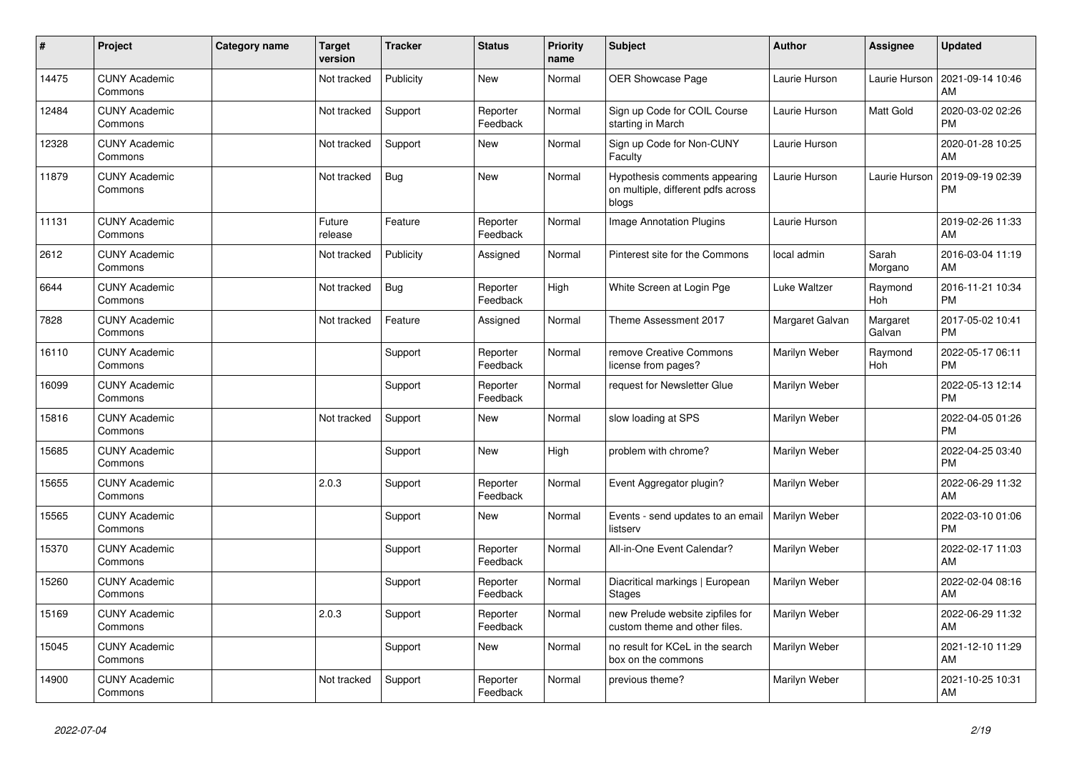| #     | Project                         | Category name | Target<br>version | <b>Tracker</b> | <b>Status</b>        | <b>Priority</b><br>name | <b>Subject</b>                                                               | <b>Author</b>   | <b>Assignee</b>    | <b>Updated</b>                |
|-------|---------------------------------|---------------|-------------------|----------------|----------------------|-------------------------|------------------------------------------------------------------------------|-----------------|--------------------|-------------------------------|
| 14475 | <b>CUNY Academic</b><br>Commons |               | Not tracked       | Publicity      | <b>New</b>           | Normal                  | OER Showcase Page                                                            | Laurie Hurson   | Laurie Hurson      | 2021-09-14 10:46<br>AM        |
| 12484 | <b>CUNY Academic</b><br>Commons |               | Not tracked       | Support        | Reporter<br>Feedback | Normal                  | Sign up Code for COIL Course<br>starting in March                            | Laurie Hurson   | Matt Gold          | 2020-03-02 02:26<br><b>PM</b> |
| 12328 | <b>CUNY Academic</b><br>Commons |               | Not tracked       | Support        | New                  | Normal                  | Sign up Code for Non-CUNY<br>Faculty                                         | Laurie Hurson   |                    | 2020-01-28 10:25<br>AM        |
| 11879 | <b>CUNY Academic</b><br>Commons |               | Not tracked       | <b>Bug</b>     | <b>New</b>           | Normal                  | Hypothesis comments appearing<br>on multiple, different pdfs across<br>blogs | Laurie Hurson   | Laurie Hurson      | 2019-09-19 02:39<br><b>PM</b> |
| 11131 | <b>CUNY Academic</b><br>Commons |               | Future<br>release | Feature        | Reporter<br>Feedback | Normal                  | Image Annotation Plugins                                                     | Laurie Hurson   |                    | 2019-02-26 11:33<br>AM        |
| 2612  | <b>CUNY Academic</b><br>Commons |               | Not tracked       | Publicity      | Assigned             | Normal                  | Pinterest site for the Commons                                               | local admin     | Sarah<br>Morgano   | 2016-03-04 11:19<br>AM        |
| 6644  | <b>CUNY Academic</b><br>Commons |               | Not tracked       | <b>Bug</b>     | Reporter<br>Feedback | High                    | White Screen at Login Pge                                                    | Luke Waltzer    | Raymond<br>Hoh     | 2016-11-21 10:34<br><b>PM</b> |
| 7828  | <b>CUNY Academic</b><br>Commons |               | Not tracked       | Feature        | Assigned             | Normal                  | Theme Assessment 2017                                                        | Margaret Galvan | Margaret<br>Galvan | 2017-05-02 10:41<br><b>PM</b> |
| 16110 | <b>CUNY Academic</b><br>Commons |               |                   | Support        | Reporter<br>Feedback | Normal                  | remove Creative Commons<br>license from pages?                               | Marilyn Weber   | Raymond<br>Hoh     | 2022-05-17 06:11<br><b>PM</b> |
| 16099 | <b>CUNY Academic</b><br>Commons |               |                   | Support        | Reporter<br>Feedback | Normal                  | request for Newsletter Glue                                                  | Marilyn Weber   |                    | 2022-05-13 12:14<br><b>PM</b> |
| 15816 | <b>CUNY Academic</b><br>Commons |               | Not tracked       | Support        | New                  | Normal                  | slow loading at SPS                                                          | Marilyn Weber   |                    | 2022-04-05 01:26<br><b>PM</b> |
| 15685 | <b>CUNY Academic</b><br>Commons |               |                   | Support        | <b>New</b>           | High                    | problem with chrome?                                                         | Marilyn Weber   |                    | 2022-04-25 03:40<br><b>PM</b> |
| 15655 | <b>CUNY Academic</b><br>Commons |               | 2.0.3             | Support        | Reporter<br>Feedback | Normal                  | Event Aggregator plugin?                                                     | Marilyn Weber   |                    | 2022-06-29 11:32<br>AM        |
| 15565 | <b>CUNY Academic</b><br>Commons |               |                   | Support        | <b>New</b>           | Normal                  | Events - send updates to an email<br>listserv                                | Marilyn Weber   |                    | 2022-03-10 01:06<br><b>PM</b> |
| 15370 | <b>CUNY Academic</b><br>Commons |               |                   | Support        | Reporter<br>Feedback | Normal                  | All-in-One Event Calendar?                                                   | Marilyn Weber   |                    | 2022-02-17 11:03<br>AM        |
| 15260 | <b>CUNY Academic</b><br>Commons |               |                   | Support        | Reporter<br>Feedback | Normal                  | Diacritical markings   European<br><b>Stages</b>                             | Marilyn Weber   |                    | 2022-02-04 08:16<br>AM        |
| 15169 | <b>CUNY Academic</b><br>Commons |               | 2.0.3             | Support        | Reporter<br>Feedback | Normal                  | new Prelude website zipfiles for<br>custom theme and other files.            | Marilyn Weber   |                    | 2022-06-29 11:32<br>AM        |
| 15045 | <b>CUNY Academic</b><br>Commons |               |                   | Support        | <b>New</b>           | Normal                  | no result for KCeL in the search<br>box on the commons                       | Marilyn Weber   |                    | 2021-12-10 11:29<br>AM        |
| 14900 | <b>CUNY Academic</b><br>Commons |               | Not tracked       | Support        | Reporter<br>Feedback | Normal                  | previous theme?                                                              | Marilyn Weber   |                    | 2021-10-25 10:31<br>AM        |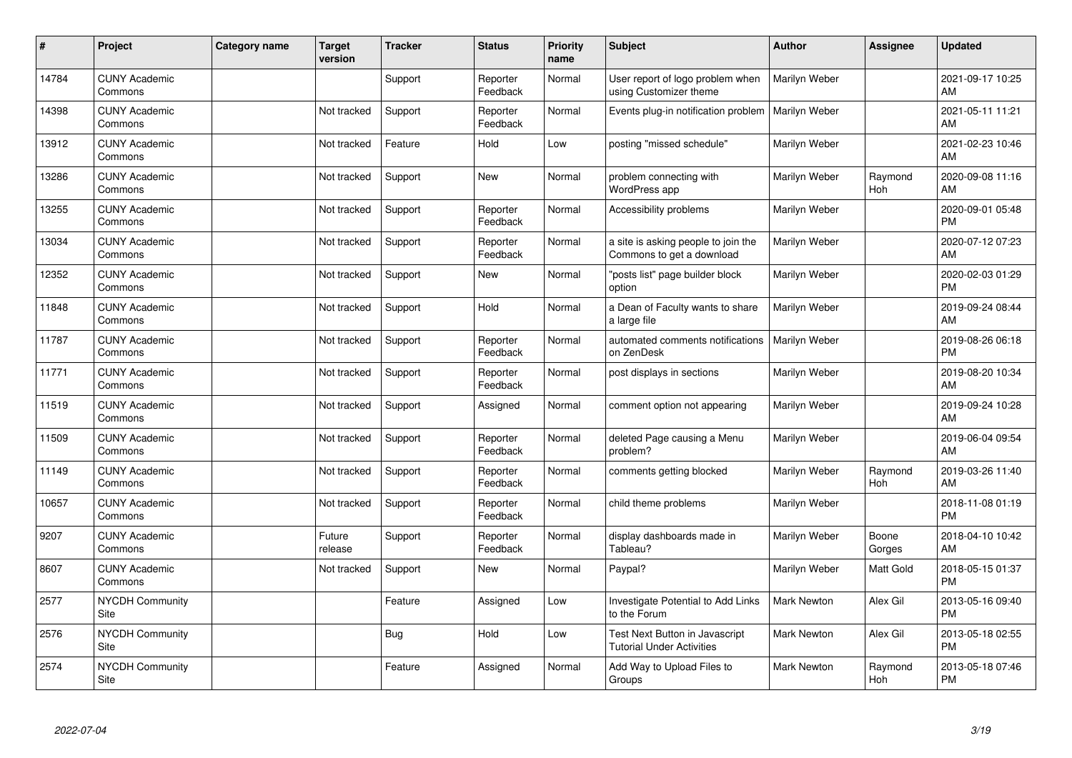| ∦     | Project                         | Category name | <b>Target</b><br>version | <b>Tracker</b> | <b>Status</b>        | <b>Priority</b><br>name | <b>Subject</b>                                                     | <b>Author</b>      | <b>Assignee</b> | <b>Updated</b>                |
|-------|---------------------------------|---------------|--------------------------|----------------|----------------------|-------------------------|--------------------------------------------------------------------|--------------------|-----------------|-------------------------------|
| 14784 | <b>CUNY Academic</b><br>Commons |               |                          | Support        | Reporter<br>Feedback | Normal                  | User report of logo problem when<br>using Customizer theme         | Marilyn Weber      |                 | 2021-09-17 10:25<br>AM        |
| 14398 | <b>CUNY Academic</b><br>Commons |               | Not tracked              | Support        | Reporter<br>Feedback | Normal                  | Events plug-in notification problem                                | Marilyn Weber      |                 | 2021-05-11 11:21<br>AM        |
| 13912 | <b>CUNY Academic</b><br>Commons |               | Not tracked              | Feature        | Hold                 | Low                     | posting "missed schedule"                                          | Marilyn Weber      |                 | 2021-02-23 10:46<br>AM        |
| 13286 | <b>CUNY Academic</b><br>Commons |               | Not tracked              | Support        | <b>New</b>           | Normal                  | problem connecting with<br>WordPress app                           | Marilyn Weber      | Raymond<br>Hoh  | 2020-09-08 11:16<br>AM        |
| 13255 | <b>CUNY Academic</b><br>Commons |               | Not tracked              | Support        | Reporter<br>Feedback | Normal                  | Accessibility problems                                             | Marilyn Weber      |                 | 2020-09-01 05:48<br><b>PM</b> |
| 13034 | <b>CUNY Academic</b><br>Commons |               | Not tracked              | Support        | Reporter<br>Feedback | Normal                  | a site is asking people to join the<br>Commons to get a download   | Marilyn Weber      |                 | 2020-07-12 07:23<br><b>AM</b> |
| 12352 | <b>CUNY Academic</b><br>Commons |               | Not tracked              | Support        | New                  | Normal                  | "posts list" page builder block<br>option                          | Marilyn Weber      |                 | 2020-02-03 01:29<br><b>PM</b> |
| 11848 | <b>CUNY Academic</b><br>Commons |               | Not tracked              | Support        | Hold                 | Normal                  | a Dean of Faculty wants to share<br>a large file                   | Marilyn Weber      |                 | 2019-09-24 08:44<br>AM        |
| 11787 | <b>CUNY Academic</b><br>Commons |               | Not tracked              | Support        | Reporter<br>Feedback | Normal                  | automated comments notifications<br>on ZenDesk                     | Marilyn Weber      |                 | 2019-08-26 06:18<br><b>PM</b> |
| 11771 | <b>CUNY Academic</b><br>Commons |               | Not tracked              | Support        | Reporter<br>Feedback | Normal                  | post displays in sections                                          | Marilyn Weber      |                 | 2019-08-20 10:34<br>AM        |
| 11519 | <b>CUNY Academic</b><br>Commons |               | Not tracked              | Support        | Assigned             | Normal                  | comment option not appearing                                       | Marilyn Weber      |                 | 2019-09-24 10:28<br>AM        |
| 11509 | <b>CUNY Academic</b><br>Commons |               | Not tracked              | Support        | Reporter<br>Feedback | Normal                  | deleted Page causing a Menu<br>problem?                            | Marilyn Weber      |                 | 2019-06-04 09:54<br>AM        |
| 11149 | <b>CUNY Academic</b><br>Commons |               | Not tracked              | Support        | Reporter<br>Feedback | Normal                  | comments getting blocked                                           | Marilyn Weber      | Raymond<br>Hoh  | 2019-03-26 11:40<br>AM        |
| 10657 | <b>CUNY Academic</b><br>Commons |               | Not tracked              | Support        | Reporter<br>Feedback | Normal                  | child theme problems                                               | Marilyn Weber      |                 | 2018-11-08 01:19<br><b>PM</b> |
| 9207  | <b>CUNY Academic</b><br>Commons |               | Future<br>release        | Support        | Reporter<br>Feedback | Normal                  | display dashboards made in<br>Tableau?                             | Marilyn Weber      | Boone<br>Gorges | 2018-04-10 10:42<br>AM        |
| 8607  | <b>CUNY Academic</b><br>Commons |               | Not tracked              | Support        | New                  | Normal                  | Paypal?                                                            | Marilyn Weber      | Matt Gold       | 2018-05-15 01:37<br><b>PM</b> |
| 2577  | <b>NYCDH Community</b><br>Site  |               |                          | Feature        | Assigned             | Low                     | Investigate Potential to Add Links<br>to the Forum                 | <b>Mark Newton</b> | Alex Gil        | 2013-05-16 09:40<br><b>PM</b> |
| 2576  | NYCDH Community<br>Site         |               |                          | <b>Bug</b>     | Hold                 | Low                     | Test Next Button in Javascript<br><b>Tutorial Under Activities</b> | <b>Mark Newton</b> | Alex Gil        | 2013-05-18 02:55<br><b>PM</b> |
| 2574  | <b>NYCDH Community</b><br>Site  |               |                          | Feature        | Assigned             | Normal                  | Add Way to Upload Files to<br>Groups                               | Mark Newton        | Raymond<br>Hoh  | 2013-05-18 07:46<br>PM        |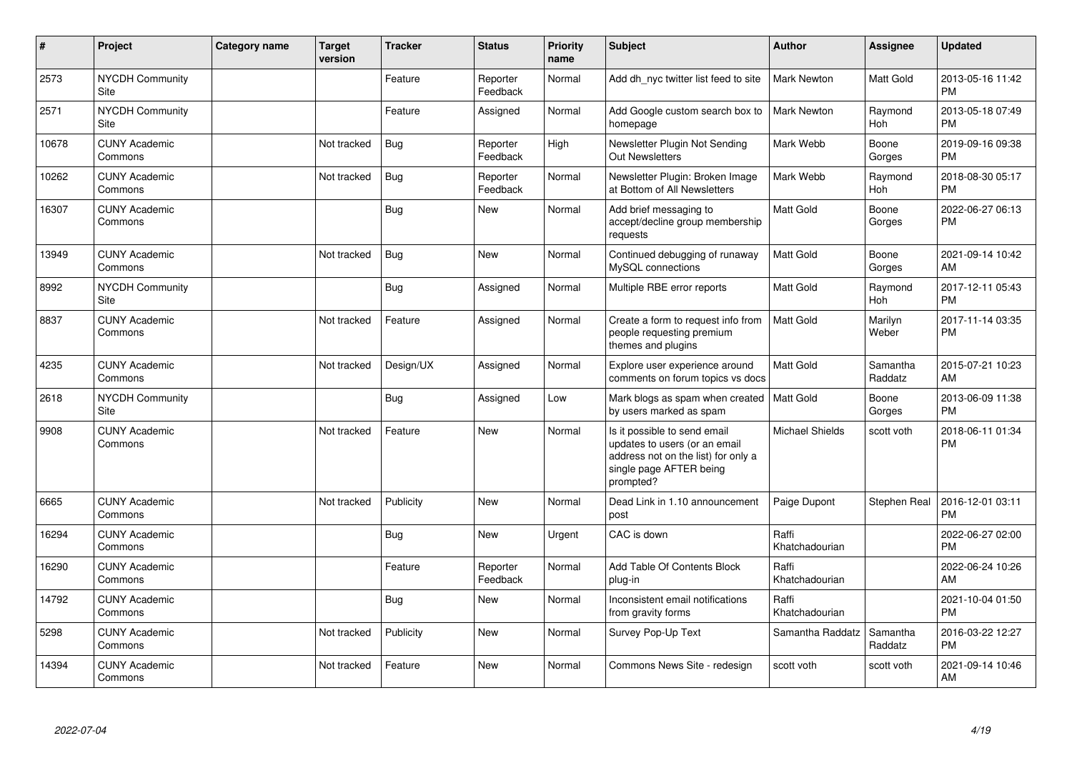| $\vert$ # | Project                         | <b>Category name</b> | <b>Target</b><br>version | <b>Tracker</b> | <b>Status</b>        | <b>Priority</b><br>name | <b>Subject</b>                                                                                                                               | <b>Author</b>           | Assignee            | <b>Updated</b>                |
|-----------|---------------------------------|----------------------|--------------------------|----------------|----------------------|-------------------------|----------------------------------------------------------------------------------------------------------------------------------------------|-------------------------|---------------------|-------------------------------|
| 2573      | NYCDH Community<br>Site         |                      |                          | Feature        | Reporter<br>Feedback | Normal                  | Add dh nyc twitter list feed to site                                                                                                         | <b>Mark Newton</b>      | Matt Gold           | 2013-05-16 11:42<br><b>PM</b> |
| 2571      | NYCDH Community<br>Site         |                      |                          | Feature        | Assigned             | Normal                  | Add Google custom search box to<br>homepage                                                                                                  | Mark Newton             | Raymond<br>Hoh      | 2013-05-18 07:49<br><b>PM</b> |
| 10678     | <b>CUNY Academic</b><br>Commons |                      | Not tracked              | Bug            | Reporter<br>Feedback | High                    | Newsletter Plugin Not Sending<br><b>Out Newsletters</b>                                                                                      | Mark Webb               | Boone<br>Gorges     | 2019-09-16 09:38<br><b>PM</b> |
| 10262     | <b>CUNY Academic</b><br>Commons |                      | Not tracked              | <b>Bug</b>     | Reporter<br>Feedback | Normal                  | Newsletter Plugin: Broken Image<br>at Bottom of All Newsletters                                                                              | Mark Webb               | Raymond<br>Hoh      | 2018-08-30 05:17<br><b>PM</b> |
| 16307     | <b>CUNY Academic</b><br>Commons |                      |                          | <b>Bug</b>     | <b>New</b>           | Normal                  | Add brief messaging to<br>accept/decline group membership<br>requests                                                                        | <b>Matt Gold</b>        | Boone<br>Gorges     | 2022-06-27 06:13<br><b>PM</b> |
| 13949     | <b>CUNY Academic</b><br>Commons |                      | Not tracked              | Bug            | <b>New</b>           | Normal                  | Continued debugging of runaway<br>MvSQL connections                                                                                          | <b>Matt Gold</b>        | Boone<br>Gorges     | 2021-09-14 10:42<br>AM        |
| 8992      | <b>NYCDH Community</b><br>Site  |                      |                          | Bug            | Assigned             | Normal                  | Multiple RBE error reports                                                                                                                   | <b>Matt Gold</b>        | Raymond<br>Hoh      | 2017-12-11 05:43<br><b>PM</b> |
| 8837      | <b>CUNY Academic</b><br>Commons |                      | Not tracked              | Feature        | Assigned             | Normal                  | Create a form to request info from<br>people requesting premium<br>themes and plugins                                                        | <b>Matt Gold</b>        | Marilyn<br>Weber    | 2017-11-14 03:35<br><b>PM</b> |
| 4235      | <b>CUNY Academic</b><br>Commons |                      | Not tracked              | Design/UX      | Assigned             | Normal                  | Explore user experience around<br>comments on forum topics vs docs                                                                           | Matt Gold               | Samantha<br>Raddatz | 2015-07-21 10:23<br>AM        |
| 2618      | <b>NYCDH Community</b><br>Site  |                      |                          | <b>Bug</b>     | Assigned             | Low                     | Mark blogs as spam when created<br>by users marked as spam                                                                                   | Matt Gold               | Boone<br>Gorges     | 2013-06-09 11:38<br><b>PM</b> |
| 9908      | <b>CUNY Academic</b><br>Commons |                      | Not tracked              | Feature        | <b>New</b>           | Normal                  | Is it possible to send email<br>updates to users (or an email<br>address not on the list) for only a<br>single page AFTER being<br>prompted? | <b>Michael Shields</b>  | scott voth          | 2018-06-11 01:34<br><b>PM</b> |
| 6665      | <b>CUNY Academic</b><br>Commons |                      | Not tracked              | Publicity      | <b>New</b>           | Normal                  | Dead Link in 1.10 announcement<br>post                                                                                                       | Paige Dupont            | Stephen Real        | 2016-12-01 03:11<br><b>PM</b> |
| 16294     | <b>CUNY Academic</b><br>Commons |                      |                          | Bug            | <b>New</b>           | Urgent                  | CAC is down                                                                                                                                  | Raffi<br>Khatchadourian |                     | 2022-06-27 02:00<br><b>PM</b> |
| 16290     | <b>CUNY Academic</b><br>Commons |                      |                          | Feature        | Reporter<br>Feedback | Normal                  | Add Table Of Contents Block<br>plug-in                                                                                                       | Raffi<br>Khatchadourian |                     | 2022-06-24 10:26<br>AM        |
| 14792     | <b>CUNY Academic</b><br>Commons |                      |                          | Bug            | <b>New</b>           | Normal                  | Inconsistent email notifications<br>from gravity forms                                                                                       | Raffi<br>Khatchadourian |                     | 2021-10-04 01:50<br><b>PM</b> |
| 5298      | <b>CUNY Academic</b><br>Commons |                      | Not tracked              | Publicity      | <b>New</b>           | Normal                  | Survey Pop-Up Text                                                                                                                           | Samantha Raddatz        | Samantha<br>Raddatz | 2016-03-22 12:27<br><b>PM</b> |
| 14394     | <b>CUNY Academic</b><br>Commons |                      | Not tracked              | Feature        | <b>New</b>           | Normal                  | Commons News Site - redesign                                                                                                                 | scott voth              | scott voth          | 2021-09-14 10:46<br>AM        |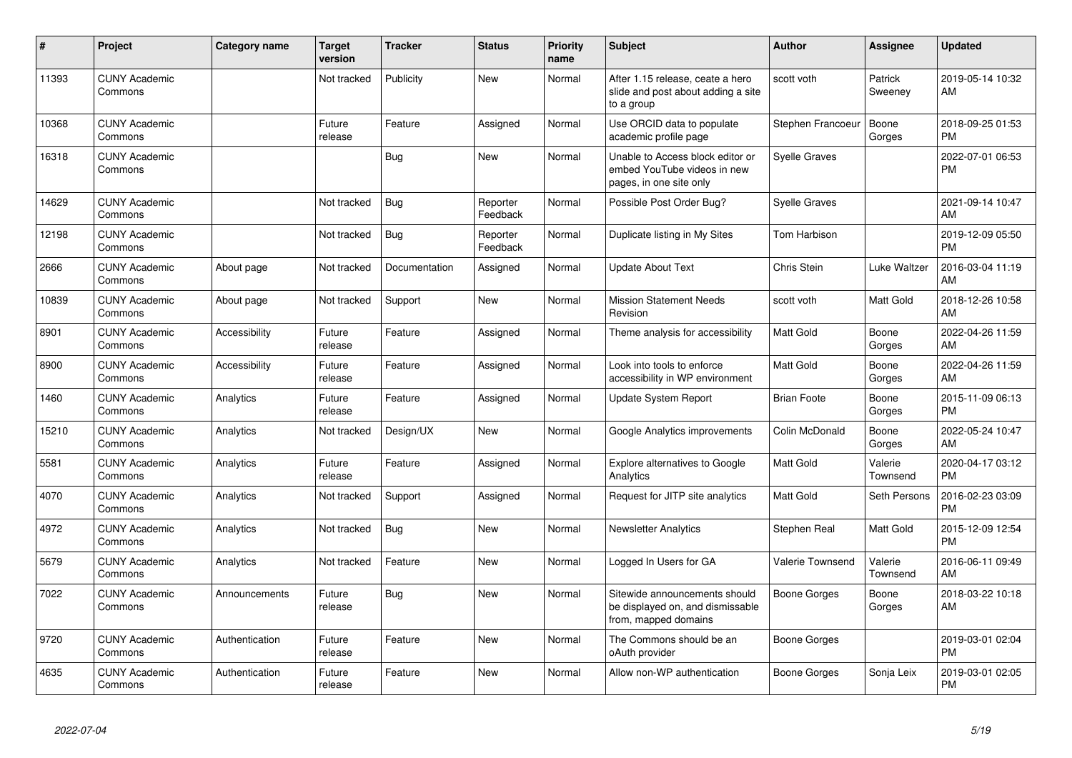| #     | <b>Project</b>                  | <b>Category name</b> | <b>Target</b><br>version | <b>Tracker</b> | <b>Status</b>        | <b>Priority</b><br>name | <b>Subject</b>                                                                             | <b>Author</b>        | Assignee            | <b>Updated</b>                |
|-------|---------------------------------|----------------------|--------------------------|----------------|----------------------|-------------------------|--------------------------------------------------------------------------------------------|----------------------|---------------------|-------------------------------|
| 11393 | <b>CUNY Academic</b><br>Commons |                      | Not tracked              | Publicity      | <b>New</b>           | Normal                  | After 1.15 release, ceate a hero<br>slide and post about adding a site<br>to a group       | scott voth           | Patrick<br>Sweeney  | 2019-05-14 10:32<br>AM        |
| 10368 | <b>CUNY Academic</b><br>Commons |                      | Future<br>release        | Feature        | Assigned             | Normal                  | Use ORCID data to populate<br>academic profile page                                        | Stephen Francoeur    | Boone<br>Gorges     | 2018-09-25 01:53<br><b>PM</b> |
| 16318 | <b>CUNY Academic</b><br>Commons |                      |                          | Bug            | <b>New</b>           | Normal                  | Unable to Access block editor or<br>embed YouTube videos in new<br>pages, in one site only | <b>Syelle Graves</b> |                     | 2022-07-01 06:53<br><b>PM</b> |
| 14629 | <b>CUNY Academic</b><br>Commons |                      | Not tracked              | Bug            | Reporter<br>Feedback | Normal                  | Possible Post Order Bug?                                                                   | <b>Syelle Graves</b> |                     | 2021-09-14 10:47<br>AM        |
| 12198 | <b>CUNY Academic</b><br>Commons |                      | Not tracked              | Bug            | Reporter<br>Feedback | Normal                  | Duplicate listing in My Sites                                                              | Tom Harbison         |                     | 2019-12-09 05:50<br><b>PM</b> |
| 2666  | <b>CUNY Academic</b><br>Commons | About page           | Not tracked              | Documentation  | Assigned             | Normal                  | <b>Update About Text</b>                                                                   | Chris Stein          | Luke Waltzer        | 2016-03-04 11:19<br>AM        |
| 10839 | <b>CUNY Academic</b><br>Commons | About page           | Not tracked              | Support        | <b>New</b>           | Normal                  | <b>Mission Statement Needs</b><br>Revision                                                 | scott voth           | <b>Matt Gold</b>    | 2018-12-26 10:58<br>AM        |
| 8901  | <b>CUNY Academic</b><br>Commons | Accessibility        | Future<br>release        | Feature        | Assigned             | Normal                  | Theme analysis for accessibility                                                           | Matt Gold            | Boone<br>Gorges     | 2022-04-26 11:59<br>AM        |
| 8900  | <b>CUNY Academic</b><br>Commons | Accessibility        | Future<br>release        | Feature        | Assigned             | Normal                  | Look into tools to enforce<br>accessibility in WP environment                              | Matt Gold            | Boone<br>Gorges     | 2022-04-26 11:59<br>AM        |
| 1460  | <b>CUNY Academic</b><br>Commons | Analytics            | Future<br>release        | Feature        | Assigned             | Normal                  | <b>Update System Report</b>                                                                | <b>Brian Foote</b>   | Boone<br>Gorges     | 2015-11-09 06:13<br><b>PM</b> |
| 15210 | <b>CUNY Academic</b><br>Commons | Analytics            | Not tracked              | Design/UX      | <b>New</b>           | Normal                  | Google Analytics improvements                                                              | Colin McDonald       | Boone<br>Gorges     | 2022-05-24 10:47<br>AM        |
| 5581  | <b>CUNY Academic</b><br>Commons | Analytics            | Future<br>release        | Feature        | Assigned             | Normal                  | <b>Explore alternatives to Google</b><br>Analytics                                         | <b>Matt Gold</b>     | Valerie<br>Townsend | 2020-04-17 03:12<br><b>PM</b> |
| 4070  | <b>CUNY Academic</b><br>Commons | Analytics            | Not tracked              | Support        | Assigned             | Normal                  | Request for JITP site analytics                                                            | Matt Gold            | Seth Persons        | 2016-02-23 03:09<br><b>PM</b> |
| 4972  | <b>CUNY Academic</b><br>Commons | Analytics            | Not tracked              | <b>Bug</b>     | <b>New</b>           | Normal                  | <b>Newsletter Analytics</b>                                                                | Stephen Real         | Matt Gold           | 2015-12-09 12:54<br><b>PM</b> |
| 5679  | <b>CUNY Academic</b><br>Commons | Analytics            | Not tracked              | Feature        | <b>New</b>           | Normal                  | Logged In Users for GA                                                                     | Valerie Townsend     | Valerie<br>Townsend | 2016-06-11 09:49<br>AM        |
| 7022  | <b>CUNY Academic</b><br>Commons | Announcements        | Future<br>release        | <b>Bug</b>     | <b>New</b>           | Normal                  | Sitewide announcements should<br>be displayed on, and dismissable<br>from, mapped domains  | Boone Gorges         | Boone<br>Gorges     | 2018-03-22 10:18<br>AM        |
| 9720  | <b>CUNY Academic</b><br>Commons | Authentication       | Future<br>release        | Feature        | <b>New</b>           | Normal                  | The Commons should be an<br>oAuth provider                                                 | Boone Gorges         |                     | 2019-03-01 02:04<br><b>PM</b> |
| 4635  | <b>CUNY Academic</b><br>Commons | Authentication       | Future<br>release        | Feature        | <b>New</b>           | Normal                  | Allow non-WP authentication                                                                | Boone Gorges         | Sonja Leix          | 2019-03-01 02:05<br>PM        |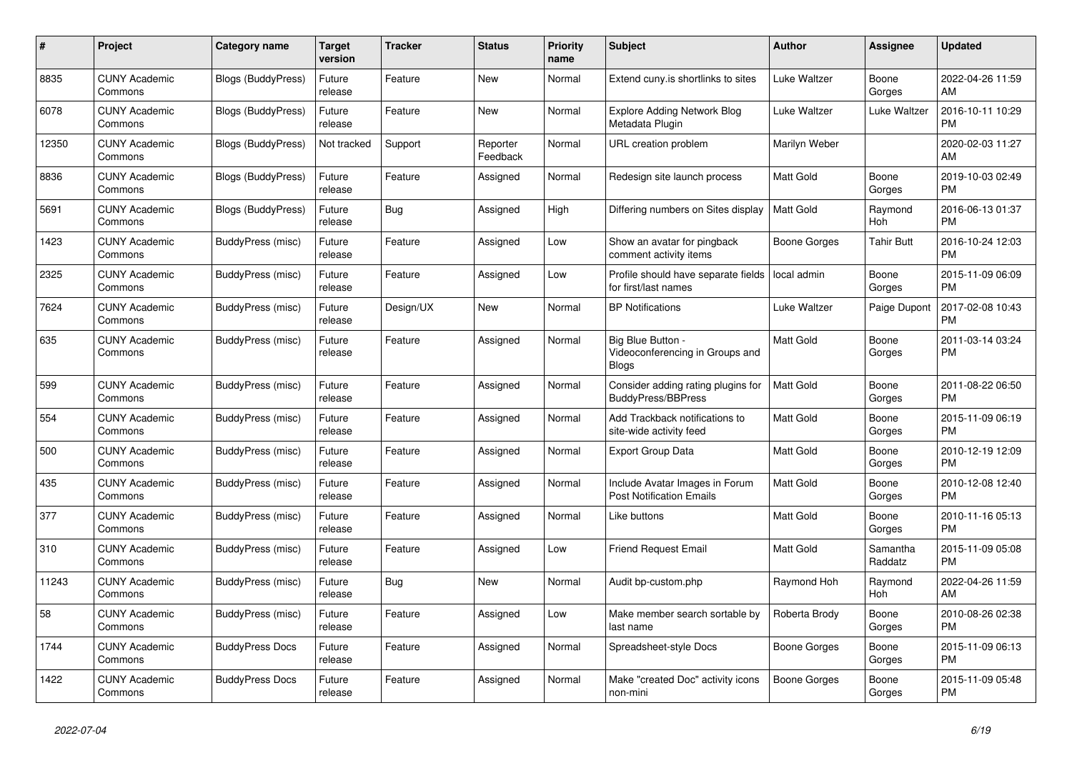| #     | Project                         | <b>Category name</b>      | Target<br>version | <b>Tracker</b> | <b>Status</b>        | <b>Priority</b><br>name | <b>Subject</b>                                                    | <b>Author</b>       | Assignee            | <b>Updated</b>                |
|-------|---------------------------------|---------------------------|-------------------|----------------|----------------------|-------------------------|-------------------------------------------------------------------|---------------------|---------------------|-------------------------------|
| 8835  | <b>CUNY Academic</b><br>Commons | Blogs (BuddyPress)        | Future<br>release | Feature        | New                  | Normal                  | Extend cuny.is shortlinks to sites                                | Luke Waltzer        | Boone<br>Gorges     | 2022-04-26 11:59<br>AM        |
| 6078  | <b>CUNY Academic</b><br>Commons | <b>Blogs (BuddyPress)</b> | Future<br>release | Feature        | <b>New</b>           | Normal                  | Explore Adding Network Blog<br>Metadata Plugin                    | Luke Waltzer        | Luke Waltzer        | 2016-10-11 10:29<br><b>PM</b> |
| 12350 | <b>CUNY Academic</b><br>Commons | Blogs (BuddyPress)        | Not tracked       | Support        | Reporter<br>Feedback | Normal                  | URL creation problem                                              | Marilyn Weber       |                     | 2020-02-03 11:27<br>AM        |
| 8836  | <b>CUNY Academic</b><br>Commons | <b>Blogs (BuddyPress)</b> | Future<br>release | Feature        | Assigned             | Normal                  | Redesign site launch process                                      | Matt Gold           | Boone<br>Gorges     | 2019-10-03 02:49<br><b>PM</b> |
| 5691  | <b>CUNY Academic</b><br>Commons | <b>Blogs (BuddyPress)</b> | Future<br>release | Bug            | Assigned             | High                    | Differing numbers on Sites display                                | <b>Matt Gold</b>    | Raymond<br>Hoh      | 2016-06-13 01:37<br><b>PM</b> |
| 1423  | <b>CUNY Academic</b><br>Commons | BuddyPress (misc)         | Future<br>release | Feature        | Assigned             | Low                     | Show an avatar for pingback<br>comment activity items             | Boone Gorges        | <b>Tahir Butt</b>   | 2016-10-24 12:03<br><b>PM</b> |
| 2325  | <b>CUNY Academic</b><br>Commons | BuddyPress (misc)         | Future<br>release | Feature        | Assigned             | Low                     | Profile should have separate fields<br>for first/last names       | local admin         | Boone<br>Gorges     | 2015-11-09 06:09<br><b>PM</b> |
| 7624  | <b>CUNY Academic</b><br>Commons | BuddyPress (misc)         | Future<br>release | Design/UX      | <b>New</b>           | Normal                  | <b>BP</b> Notifications                                           | Luke Waltzer        | Paige Dupont        | 2017-02-08 10:43<br><b>PM</b> |
| 635   | <b>CUNY Academic</b><br>Commons | BuddyPress (misc)         | Future<br>release | Feature        | Assigned             | Normal                  | Big Blue Button -<br>Videoconferencing in Groups and<br>Blogs     | Matt Gold           | Boone<br>Gorges     | 2011-03-14 03:24<br><b>PM</b> |
| 599   | <b>CUNY Academic</b><br>Commons | BuddyPress (misc)         | Future<br>release | Feature        | Assigned             | Normal                  | Consider adding rating plugins for<br><b>BuddyPress/BBPress</b>   | <b>Matt Gold</b>    | Boone<br>Gorges     | 2011-08-22 06:50<br><b>PM</b> |
| 554   | <b>CUNY Academic</b><br>Commons | BuddyPress (misc)         | Future<br>release | Feature        | Assigned             | Normal                  | Add Trackback notifications to<br>site-wide activity feed         | Matt Gold           | Boone<br>Gorges     | 2015-11-09 06:19<br><b>PM</b> |
| 500   | <b>CUNY Academic</b><br>Commons | BuddyPress (misc)         | Future<br>release | Feature        | Assigned             | Normal                  | <b>Export Group Data</b>                                          | Matt Gold           | Boone<br>Gorges     | 2010-12-19 12:09<br><b>PM</b> |
| 435   | <b>CUNY Academic</b><br>Commons | BuddyPress (misc)         | Future<br>release | Feature        | Assigned             | Normal                  | Include Avatar Images in Forum<br><b>Post Notification Emails</b> | <b>Matt Gold</b>    | Boone<br>Gorges     | 2010-12-08 12:40<br><b>PM</b> |
| 377   | <b>CUNY Academic</b><br>Commons | BuddyPress (misc)         | Future<br>release | Feature        | Assigned             | Normal                  | Like buttons                                                      | Matt Gold           | Boone<br>Gorges     | 2010-11-16 05:13<br><b>PM</b> |
| 310   | <b>CUNY Academic</b><br>Commons | BuddyPress (misc)         | Future<br>release | Feature        | Assigned             | Low                     | <b>Friend Request Email</b>                                       | <b>Matt Gold</b>    | Samantha<br>Raddatz | 2015-11-09 05:08<br><b>PM</b> |
| 11243 | <b>CUNY Academic</b><br>Commons | BuddyPress (misc)         | Future<br>release | <b>Bug</b>     | New                  | Normal                  | Audit bp-custom.php                                               | Raymond Hoh         | Raymond<br>Hoh      | 2022-04-26 11:59<br>AM        |
| 58    | <b>CUNY Academic</b><br>Commons | BuddyPress (misc)         | Future<br>release | Feature        | Assigned             | Low                     | Make member search sortable by<br>last name                       | Roberta Brody       | Boone<br>Gorges     | 2010-08-26 02:38<br><b>PM</b> |
| 1744  | <b>CUNY Academic</b><br>Commons | <b>BuddyPress Docs</b>    | Future<br>release | Feature        | Assigned             | Normal                  | Spreadsheet-style Docs                                            | <b>Boone Gorges</b> | Boone<br>Gorges     | 2015-11-09 06:13<br><b>PM</b> |
| 1422  | <b>CUNY Academic</b><br>Commons | <b>BuddyPress Docs</b>    | Future<br>release | Feature        | Assigned             | Normal                  | Make "created Doc" activity icons<br>non-mini                     | Boone Gorges        | Boone<br>Gorges     | 2015-11-09 05:48<br><b>PM</b> |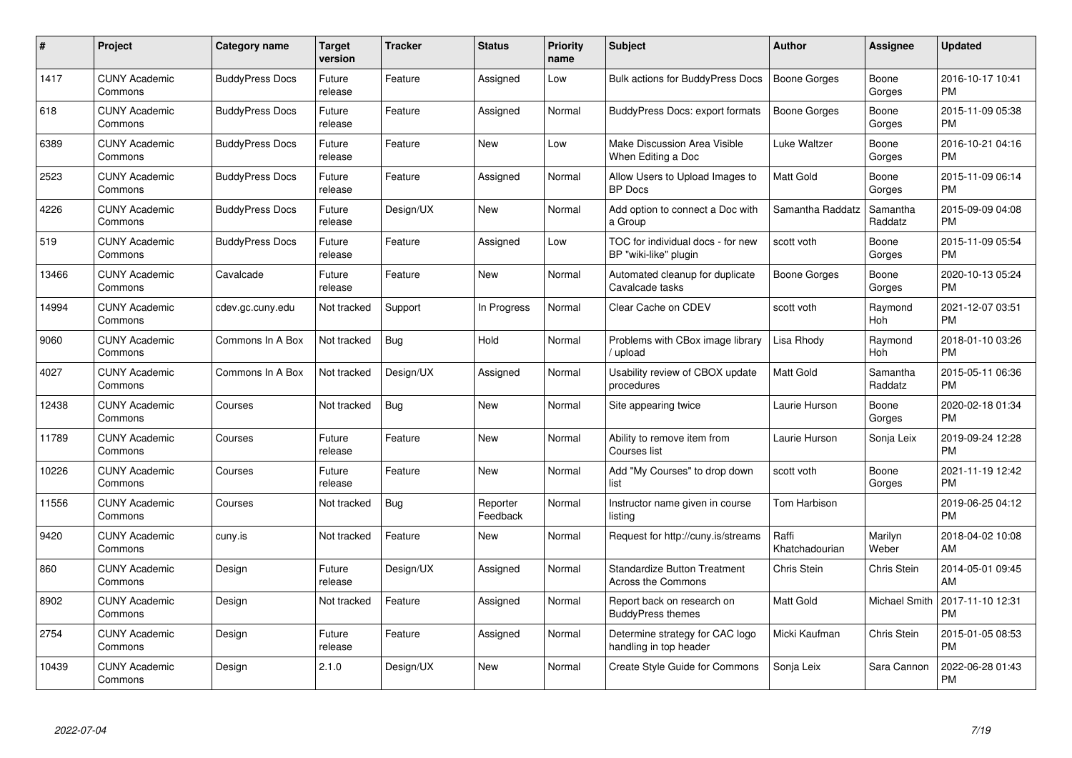| $\#$  | Project                         | <b>Category name</b>   | <b>Target</b><br>version | <b>Tracker</b> | <b>Status</b>        | Priority<br>name | <b>Subject</b>                                                   | <b>Author</b>           | <b>Assignee</b>     | <b>Updated</b>                |
|-------|---------------------------------|------------------------|--------------------------|----------------|----------------------|------------------|------------------------------------------------------------------|-------------------------|---------------------|-------------------------------|
| 1417  | <b>CUNY Academic</b><br>Commons | <b>BuddyPress Docs</b> | Future<br>release        | Feature        | Assigned             | Low              | <b>Bulk actions for BuddyPress Docs</b>                          | <b>Boone Gorges</b>     | Boone<br>Gorges     | 2016-10-17 10:41<br><b>PM</b> |
| 618   | <b>CUNY Academic</b><br>Commons | <b>BuddyPress Docs</b> | Future<br>release        | Feature        | Assigned             | Normal           | <b>BuddyPress Docs: export formats</b>                           | Boone Gorges            | Boone<br>Gorges     | 2015-11-09 05:38<br><b>PM</b> |
| 6389  | <b>CUNY Academic</b><br>Commons | <b>BuddyPress Docs</b> | Future<br>release        | Feature        | <b>New</b>           | Low              | Make Discussion Area Visible<br>When Editing a Doc               | Luke Waltzer            | Boone<br>Gorges     | 2016-10-21 04:16<br><b>PM</b> |
| 2523  | <b>CUNY Academic</b><br>Commons | <b>BuddyPress Docs</b> | Future<br>release        | Feature        | Assigned             | Normal           | Allow Users to Upload Images to<br><b>BP</b> Docs                | <b>Matt Gold</b>        | Boone<br>Gorges     | 2015-11-09 06:14<br><b>PM</b> |
| 4226  | <b>CUNY Academic</b><br>Commons | <b>BuddyPress Docs</b> | Future<br>release        | Design/UX      | <b>New</b>           | Normal           | Add option to connect a Doc with<br>a Group                      | Samantha Raddatz        | Samantha<br>Raddatz | 2015-09-09 04:08<br><b>PM</b> |
| 519   | <b>CUNY Academic</b><br>Commons | <b>BuddyPress Docs</b> | Future<br>release        | Feature        | Assigned             | Low              | TOC for individual docs - for new<br>BP "wiki-like" plugin       | scott voth              | Boone<br>Gorges     | 2015-11-09 05:54<br><b>PM</b> |
| 13466 | <b>CUNY Academic</b><br>Commons | Cavalcade              | Future<br>release        | Feature        | <b>New</b>           | Normal           | Automated cleanup for duplicate<br>Cavalcade tasks               | Boone Gorges            | Boone<br>Gorges     | 2020-10-13 05:24<br><b>PM</b> |
| 14994 | <b>CUNY Academic</b><br>Commons | cdev.gc.cuny.edu       | Not tracked              | Support        | In Progress          | Normal           | Clear Cache on CDEV                                              | scott voth              | Raymond<br>Hoh      | 2021-12-07 03:51<br><b>PM</b> |
| 9060  | <b>CUNY Academic</b><br>Commons | Commons In A Box       | Not tracked              | <b>Bug</b>     | Hold                 | Normal           | Problems with CBox image library<br>/ upload                     | Lisa Rhody              | Raymond<br>Hoh      | 2018-01-10 03:26<br><b>PM</b> |
| 4027  | <b>CUNY Academic</b><br>Commons | Commons In A Box       | Not tracked              | Design/UX      | Assigned             | Normal           | Usability review of CBOX update<br>procedures                    | <b>Matt Gold</b>        | Samantha<br>Raddatz | 2015-05-11 06:36<br><b>PM</b> |
| 12438 | <b>CUNY Academic</b><br>Commons | Courses                | Not tracked              | Bug            | New                  | Normal           | Site appearing twice                                             | Laurie Hurson           | Boone<br>Gorges     | 2020-02-18 01:34<br><b>PM</b> |
| 11789 | <b>CUNY Academic</b><br>Commons | Courses                | Future<br>release        | Feature        | New                  | Normal           | Ability to remove item from<br>Courses list                      | Laurie Hurson           | Sonja Leix          | 2019-09-24 12:28<br><b>PM</b> |
| 10226 | <b>CUNY Academic</b><br>Commons | Courses                | Future<br>release        | Feature        | New                  | Normal           | Add "My Courses" to drop down<br>list                            | scott voth              | Boone<br>Gorges     | 2021-11-19 12:42<br><b>PM</b> |
| 11556 | <b>CUNY Academic</b><br>Commons | Courses                | Not tracked              | Bug            | Reporter<br>Feedback | Normal           | Instructor name given in course<br>listing                       | Tom Harbison            |                     | 2019-06-25 04:12<br><b>PM</b> |
| 9420  | <b>CUNY Academic</b><br>Commons | cuny.is                | Not tracked              | Feature        | New                  | Normal           | Request for http://cuny.is/streams                               | Raffi<br>Khatchadourian | Marilyn<br>Weber    | 2018-04-02 10:08<br>AM        |
| 860   | <b>CUNY Academic</b><br>Commons | Design                 | Future<br>release        | Design/UX      | Assigned             | Normal           | <b>Standardize Button Treatment</b><br><b>Across the Commons</b> | Chris Stein             | Chris Stein         | 2014-05-01 09:45<br>AM        |
| 8902  | <b>CUNY Academic</b><br>Commons | Design                 | Not tracked              | Feature        | Assigned             | Normal           | Report back on research on<br><b>BuddyPress themes</b>           | <b>Matt Gold</b>        | Michael Smith       | 2017-11-10 12:31<br><b>PM</b> |
| 2754  | <b>CUNY Academic</b><br>Commons | Design                 | Future<br>release        | Feature        | Assigned             | Normal           | Determine strategy for CAC logo<br>handling in top header        | Micki Kaufman           | Chris Stein         | 2015-01-05 08:53<br><b>PM</b> |
| 10439 | <b>CUNY Academic</b><br>Commons | Design                 | 2.1.0                    | Design/UX      | <b>New</b>           | Normal           | Create Style Guide for Commons                                   | Sonja Leix              | Sara Cannon         | 2022-06-28 01:43<br><b>PM</b> |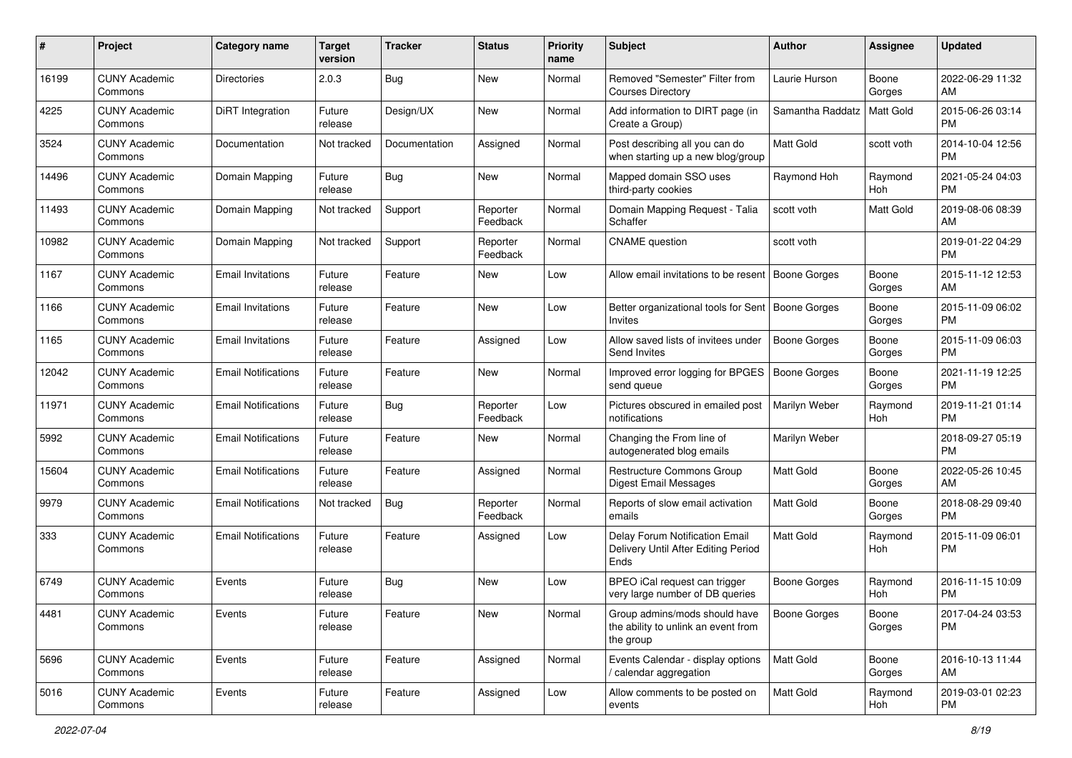| #     | Project                         | <b>Category name</b>       | <b>Target</b><br>version | Tracker       | <b>Status</b>        | <b>Priority</b><br>name | <b>Subject</b>                                                                    | Author              | Assignee         | <b>Updated</b>                |
|-------|---------------------------------|----------------------------|--------------------------|---------------|----------------------|-------------------------|-----------------------------------------------------------------------------------|---------------------|------------------|-------------------------------|
| 16199 | <b>CUNY Academic</b><br>Commons | Directories                | 2.0.3                    | Bug           | New                  | Normal                  | Removed "Semester" Filter from<br><b>Courses Directory</b>                        | Laurie Hurson       | Boone<br>Gorges  | 2022-06-29 11:32<br>AM        |
| 4225  | <b>CUNY Academic</b><br>Commons | <b>DiRT</b> Integration    | Future<br>release        | Design/UX     | New                  | Normal                  | Add information to DIRT page (in<br>Create a Group)                               | Samantha Raddatz    | <b>Matt Gold</b> | 2015-06-26 03:14<br><b>PM</b> |
| 3524  | CUNY Academic<br>Commons        | Documentation              | Not tracked              | Documentation | Assigned             | Normal                  | Post describing all you can do<br>when starting up a new blog/group               | <b>Matt Gold</b>    | scott voth       | 2014-10-04 12:56<br><b>PM</b> |
| 14496 | <b>CUNY Academic</b><br>Commons | Domain Mapping             | Future<br>release        | Bug           | New                  | Normal                  | Mapped domain SSO uses<br>third-party cookies                                     | Raymond Hoh         | Raymond<br>Hoh   | 2021-05-24 04:03<br><b>PM</b> |
| 11493 | <b>CUNY Academic</b><br>Commons | Domain Mapping             | Not tracked              | Support       | Reporter<br>Feedback | Normal                  | Domain Mapping Request - Talia<br>Schaffer                                        | scott voth          | Matt Gold        | 2019-08-06 08:39<br>AM        |
| 10982 | <b>CUNY Academic</b><br>Commons | Domain Mapping             | Not tracked              | Support       | Reporter<br>Feedback | Normal                  | <b>CNAME</b> question                                                             | scott voth          |                  | 2019-01-22 04:29<br><b>PM</b> |
| 1167  | <b>CUNY Academic</b><br>Commons | <b>Email Invitations</b>   | Future<br>release        | Feature       | New                  | Low                     | Allow email invitations to be resent                                              | Boone Gorges        | Boone<br>Gorges  | 2015-11-12 12:53<br>AM        |
| 1166  | <b>CUNY Academic</b><br>Commons | <b>Email Invitations</b>   | Future<br>release        | Feature       | New                  | Low                     | Better organizational tools for Sent<br>Invites                                   | Boone Gorges        | Boone<br>Gorges  | 2015-11-09 06:02<br>PM.       |
| 1165  | <b>CUNY Academic</b><br>Commons | <b>Email Invitations</b>   | Future<br>release        | Feature       | Assigned             | Low                     | Allow saved lists of invitees under<br><b>Send Invites</b>                        | <b>Boone Gorges</b> | Boone<br>Gorges  | 2015-11-09 06:03<br><b>PM</b> |
| 12042 | <b>CUNY Academic</b><br>Commons | <b>Email Notifications</b> | Future<br>release        | Feature       | New                  | Normal                  | Improved error logging for BPGES<br>send queue                                    | Boone Gorges        | Boone<br>Gorges  | 2021-11-19 12:25<br><b>PM</b> |
| 11971 | <b>CUNY Academic</b><br>Commons | <b>Email Notifications</b> | Future<br>release        | Bug           | Reporter<br>Feedback | Low                     | Pictures obscured in emailed post<br>notifications                                | Marilyn Weber       | Raymond<br>Hoh   | 2019-11-21 01:14<br><b>PM</b> |
| 5992  | <b>CUNY Academic</b><br>Commons | <b>Email Notifications</b> | Future<br>release        | Feature       | <b>New</b>           | Normal                  | Changing the From line of<br>autogenerated blog emails                            | Marilyn Weber       |                  | 2018-09-27 05:19<br><b>PM</b> |
| 15604 | <b>CUNY Academic</b><br>Commons | <b>Email Notifications</b> | Future<br>release        | Feature       | Assigned             | Normal                  | Restructure Commons Group<br>Digest Email Messages                                | <b>Matt Gold</b>    | Boone<br>Gorges  | 2022-05-26 10:45<br>AM        |
| 9979  | <b>CUNY Academic</b><br>Commons | <b>Email Notifications</b> | Not tracked              | Bug           | Reporter<br>Feedback | Normal                  | Reports of slow email activation<br>emails                                        | Matt Gold           | Boone<br>Gorges  | 2018-08-29 09:40<br><b>PM</b> |
| 333   | <b>CUNY Academic</b><br>Commons | <b>Email Notifications</b> | Future<br>release        | Feature       | Assigned             | Low                     | Delay Forum Notification Email<br>Delivery Until After Editing Period<br>Ends     | <b>Matt Gold</b>    | Raymond<br>Hoh   | 2015-11-09 06:01<br><b>PM</b> |
| 6749  | <b>CUNY Academic</b><br>Commons | Events                     | Future<br>release        | Bug           | <b>New</b>           | Low                     | BPEO iCal request can trigger<br>very large number of DB queries                  | Boone Gorges        | Raymond<br>Hoh   | 2016-11-15 10:09<br><b>PM</b> |
| 4481  | <b>CUNY Academic</b><br>Commons | Events                     | Future<br>release        | Feature       | New                  | Normal                  | Group admins/mods should have<br>the ability to unlink an event from<br>the group | <b>Boone Gorges</b> | Boone<br>Gorges  | 2017-04-24 03:53<br><b>PM</b> |
| 5696  | <b>CUNY Academic</b><br>Commons | Events                     | Future<br>release        | Feature       | Assigned             | Normal                  | Events Calendar - display options<br>/ calendar aggregation                       | Matt Gold           | Boone<br>Gorges  | 2016-10-13 11:44<br>AM        |
| 5016  | <b>CUNY Academic</b><br>Commons | Events                     | Future<br>release        | Feature       | Assigned             | Low                     | Allow comments to be posted on<br>events                                          | Matt Gold           | Raymond<br>Hoh   | 2019-03-01 02:23<br>PM        |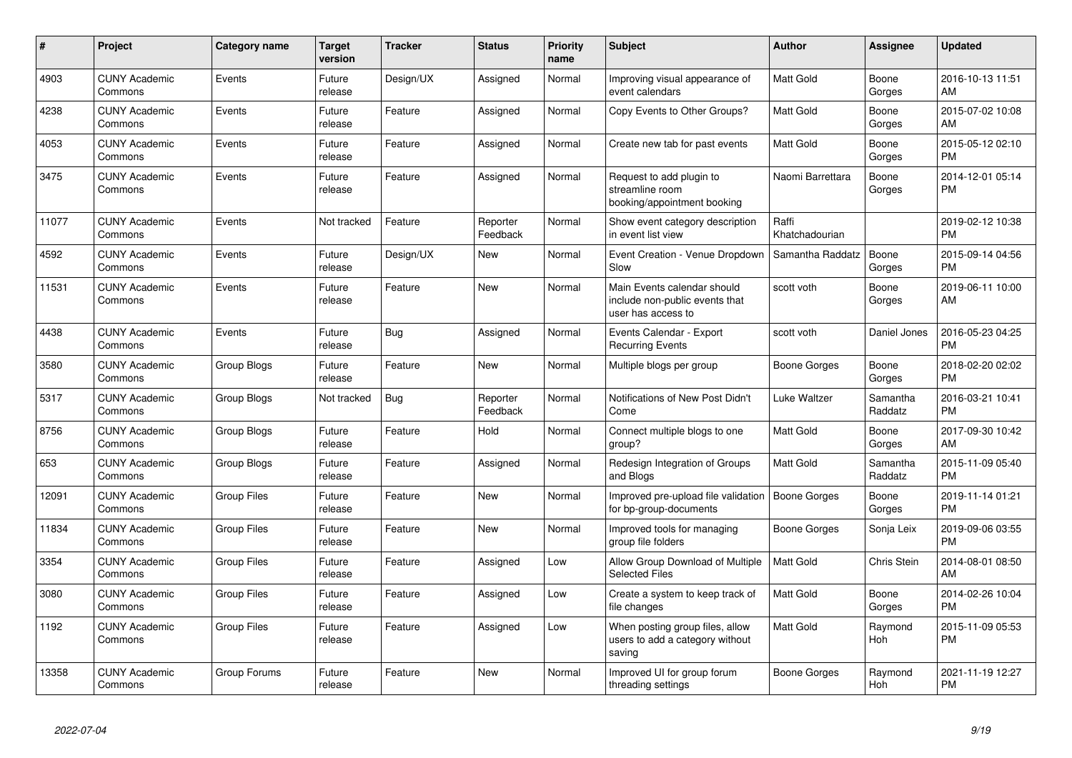| #     | <b>Project</b>                  | Category name      | <b>Target</b><br>version | <b>Tracker</b> | <b>Status</b>        | <b>Priority</b><br>name | <b>Subject</b>                                                                      | Author                  | Assignee            | <b>Updated</b>                |
|-------|---------------------------------|--------------------|--------------------------|----------------|----------------------|-------------------------|-------------------------------------------------------------------------------------|-------------------------|---------------------|-------------------------------|
| 4903  | <b>CUNY Academic</b><br>Commons | Events             | Future<br>release        | Design/UX      | Assigned             | Normal                  | Improving visual appearance of<br>event calendars                                   | <b>Matt Gold</b>        | Boone<br>Gorges     | 2016-10-13 11:51<br>AM        |
| 4238  | <b>CUNY Academic</b><br>Commons | Events             | Future<br>release        | Feature        | Assigned             | Normal                  | Copy Events to Other Groups?                                                        | <b>Matt Gold</b>        | Boone<br>Gorges     | 2015-07-02 10:08<br>AM        |
| 4053  | <b>CUNY Academic</b><br>Commons | Events             | Future<br>release        | Feature        | Assigned             | Normal                  | Create new tab for past events                                                      | Matt Gold               | Boone<br>Gorges     | 2015-05-12 02:10<br><b>PM</b> |
| 3475  | <b>CUNY Academic</b><br>Commons | Events             | Future<br>release        | Feature        | Assigned             | Normal                  | Request to add plugin to<br>streamline room<br>booking/appointment booking          | Naomi Barrettara        | Boone<br>Gorges     | 2014-12-01 05:14<br><b>PM</b> |
| 11077 | <b>CUNY Academic</b><br>Commons | Events             | Not tracked              | Feature        | Reporter<br>Feedback | Normal                  | Show event category description<br>in event list view                               | Raffi<br>Khatchadourian |                     | 2019-02-12 10:38<br><b>PM</b> |
| 4592  | <b>CUNY Academic</b><br>Commons | Events             | Future<br>release        | Design/UX      | New                  | Normal                  | Event Creation - Venue Dropdown<br>Slow                                             | Samantha Raddatz        | Boone<br>Gorges     | 2015-09-14 04:56<br><b>PM</b> |
| 11531 | <b>CUNY Academic</b><br>Commons | Events             | Future<br>release        | Feature        | <b>New</b>           | Normal                  | Main Events calendar should<br>include non-public events that<br>user has access to | scott voth              | Boone<br>Gorges     | 2019-06-11 10:00<br>AM        |
| 4438  | <b>CUNY Academic</b><br>Commons | Events             | Future<br>release        | <b>Bug</b>     | Assigned             | Normal                  | Events Calendar - Export<br><b>Recurring Events</b>                                 | scott voth              | Daniel Jones        | 2016-05-23 04:25<br><b>PM</b> |
| 3580  | <b>CUNY Academic</b><br>Commons | Group Blogs        | Future<br>release        | Feature        | New                  | Normal                  | Multiple blogs per group                                                            | Boone Gorges            | Boone<br>Gorges     | 2018-02-20 02:02<br><b>PM</b> |
| 5317  | <b>CUNY Academic</b><br>Commons | Group Blogs        | Not tracked              | Bug            | Reporter<br>Feedback | Normal                  | Notifications of New Post Didn't<br>Come                                            | Luke Waltzer            | Samantha<br>Raddatz | 2016-03-21 10:41<br><b>PM</b> |
| 8756  | <b>CUNY Academic</b><br>Commons | Group Blogs        | Future<br>release        | Feature        | Hold                 | Normal                  | Connect multiple blogs to one<br>group?                                             | <b>Matt Gold</b>        | Boone<br>Gorges     | 2017-09-30 10:42<br>AM        |
| 653   | <b>CUNY Academic</b><br>Commons | <b>Group Blogs</b> | Future<br>release        | Feature        | Assigned             | Normal                  | Redesign Integration of Groups<br>and Blogs                                         | <b>Matt Gold</b>        | Samantha<br>Raddatz | 2015-11-09 05:40<br><b>PM</b> |
| 12091 | <b>CUNY Academic</b><br>Commons | <b>Group Files</b> | Future<br>release        | Feature        | New                  | Normal                  | Improved pre-upload file validation<br>for bp-group-documents                       | Boone Gorges            | Boone<br>Gorges     | 2019-11-14 01:21<br><b>PM</b> |
| 11834 | <b>CUNY Academic</b><br>Commons | <b>Group Files</b> | Future<br>release        | Feature        | <b>New</b>           | Normal                  | Improved tools for managing<br>group file folders                                   | Boone Gorges            | Sonja Leix          | 2019-09-06 03:55<br><b>PM</b> |
| 3354  | <b>CUNY Academic</b><br>Commons | <b>Group Files</b> | Future<br>release        | Feature        | Assigned             | Low                     | Allow Group Download of Multiple<br><b>Selected Files</b>                           | <b>Matt Gold</b>        | Chris Stein         | 2014-08-01 08:50<br><b>AM</b> |
| 3080  | <b>CUNY Academic</b><br>Commons | <b>Group Files</b> | Future<br>release        | Feature        | Assigned             | Low                     | Create a system to keep track of<br>file changes                                    | <b>Matt Gold</b>        | Boone<br>Gorges     | 2014-02-26 10:04<br><b>PM</b> |
| 1192  | <b>CUNY Academic</b><br>Commons | <b>Group Files</b> | Future<br>release        | Feature        | Assigned             | Low                     | When posting group files, allow<br>users to add a category without<br>saving        | Matt Gold               | Raymond<br>Hoh      | 2015-11-09 05:53<br><b>PM</b> |
| 13358 | <b>CUNY Academic</b><br>Commons | Group Forums       | Future<br>release        | Feature        | New                  | Normal                  | Improved UI for group forum<br>threading settings                                   | Boone Gorges            | Raymond<br>Hoh      | 2021-11-19 12:27<br>PM        |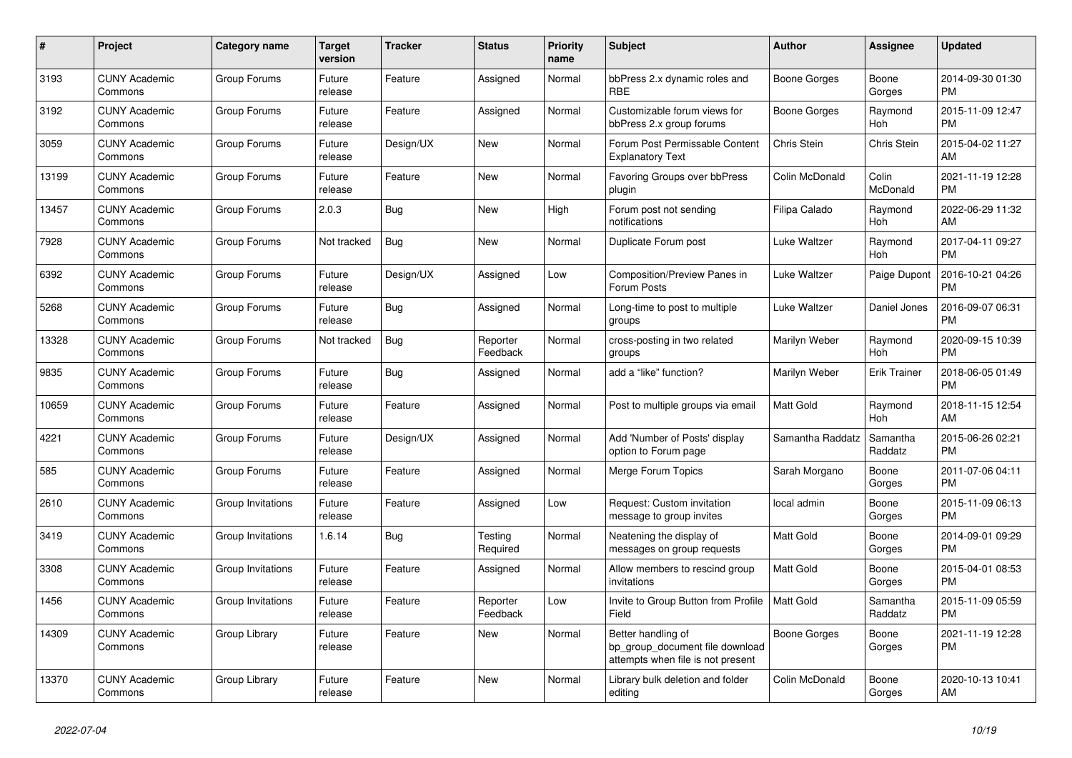| #     | <b>Project</b>                  | Category name     | Target<br>version | <b>Tracker</b> | <b>Status</b>        | <b>Priority</b><br>name | <b>Subject</b>                                                                             | <b>Author</b>    | Assignee            | <b>Updated</b>                |
|-------|---------------------------------|-------------------|-------------------|----------------|----------------------|-------------------------|--------------------------------------------------------------------------------------------|------------------|---------------------|-------------------------------|
| 3193  | <b>CUNY Academic</b><br>Commons | Group Forums      | Future<br>release | Feature        | Assigned             | Normal                  | bbPress 2.x dynamic roles and<br><b>RBE</b>                                                | Boone Gorges     | Boone<br>Gorges     | 2014-09-30 01:30<br><b>PM</b> |
| 3192  | <b>CUNY Academic</b><br>Commons | Group Forums      | Future<br>release | Feature        | Assigned             | Normal                  | Customizable forum views for<br>bbPress 2.x group forums                                   | Boone Gorges     | Raymond<br>Hoh      | 2015-11-09 12:47<br><b>PM</b> |
| 3059  | <b>CUNY Academic</b><br>Commons | Group Forums      | Future<br>release | Design/UX      | New                  | Normal                  | Forum Post Permissable Content<br><b>Explanatory Text</b>                                  | Chris Stein      | <b>Chris Stein</b>  | 2015-04-02 11:27<br>AM        |
| 13199 | <b>CUNY Academic</b><br>Commons | Group Forums      | Future<br>release | Feature        | <b>New</b>           | Normal                  | Favoring Groups over bbPress<br>plugin                                                     | Colin McDonald   | Colin<br>McDonald   | 2021-11-19 12:28<br><b>PM</b> |
| 13457 | <b>CUNY Academic</b><br>Commons | Group Forums      | 2.0.3             | Bug            | New                  | High                    | Forum post not sending<br>notifications                                                    | Filipa Calado    | Raymond<br>Hoh      | 2022-06-29 11:32<br>AM        |
| 7928  | <b>CUNY Academic</b><br>Commons | Group Forums      | Not tracked       | Bug            | New                  | Normal                  | Duplicate Forum post                                                                       | Luke Waltzer     | Raymond<br>Hoh      | 2017-04-11 09:27<br><b>PM</b> |
| 6392  | <b>CUNY Academic</b><br>Commons | Group Forums      | Future<br>release | Design/UX      | Assigned             | Low                     | Composition/Preview Panes in<br>Forum Posts                                                | Luke Waltzer     | Paige Dupont        | 2016-10-21 04:26<br><b>PM</b> |
| 5268  | <b>CUNY Academic</b><br>Commons | Group Forums      | Future<br>release | Bug            | Assigned             | Normal                  | Long-time to post to multiple<br>groups                                                    | Luke Waltzer     | Daniel Jones        | 2016-09-07 06:31<br><b>PM</b> |
| 13328 | <b>CUNY Academic</b><br>Commons | Group Forums      | Not tracked       | Bug            | Reporter<br>Feedback | Normal                  | cross-posting in two related<br>groups                                                     | Marilyn Weber    | Raymond<br>Hoh      | 2020-09-15 10:39<br><b>PM</b> |
| 9835  | <b>CUNY Academic</b><br>Commons | Group Forums      | Future<br>release | Bug            | Assigned             | Normal                  | add a "like" function?                                                                     | Marilyn Weber    | <b>Erik Trainer</b> | 2018-06-05 01:49<br><b>PM</b> |
| 10659 | <b>CUNY Academic</b><br>Commons | Group Forums      | Future<br>release | Feature        | Assigned             | Normal                  | Post to multiple groups via email                                                          | Matt Gold        | Raymond<br>Hoh      | 2018-11-15 12:54<br>AM        |
| 4221  | <b>CUNY Academic</b><br>Commons | Group Forums      | Future<br>release | Design/UX      | Assigned             | Normal                  | Add 'Number of Posts' display<br>option to Forum page                                      | Samantha Raddatz | Samantha<br>Raddatz | 2015-06-26 02:21<br><b>PM</b> |
| 585   | <b>CUNY Academic</b><br>Commons | Group Forums      | Future<br>release | Feature        | Assigned             | Normal                  | Merge Forum Topics                                                                         | Sarah Morgano    | Boone<br>Gorges     | 2011-07-06 04:11<br><b>PM</b> |
| 2610  | <b>CUNY Academic</b><br>Commons | Group Invitations | Future<br>release | Feature        | Assigned             | Low                     | Request: Custom invitation<br>message to group invites                                     | local admin      | Boone<br>Gorges     | 2015-11-09 06:13<br>PM        |
| 3419  | <b>CUNY Academic</b><br>Commons | Group Invitations | 1.6.14            | Bug            | Testing<br>Required  | Normal                  | Neatening the display of<br>messages on group requests                                     | Matt Gold        | Boone<br>Gorges     | 2014-09-01 09:29<br><b>PM</b> |
| 3308  | <b>CUNY Academic</b><br>Commons | Group Invitations | Future<br>release | Feature        | Assigned             | Normal                  | Allow members to rescind group<br>invitations                                              | Matt Gold        | Boone<br>Gorges     | 2015-04-01 08:53<br><b>PM</b> |
| 1456  | <b>CUNY Academic</b><br>Commons | Group Invitations | Future<br>release | Feature        | Reporter<br>Feedback | Low                     | Invite to Group Button from Profile<br>Field                                               | <b>Matt Gold</b> | Samantha<br>Raddatz | 2015-11-09 05:59<br><b>PM</b> |
| 14309 | <b>CUNY Academic</b><br>Commons | Group Library     | Future<br>release | Feature        | New                  | Normal                  | Better handling of<br>bp_group_document file download<br>attempts when file is not present | Boone Gorges     | Boone<br>Gorges     | 2021-11-19 12:28<br><b>PM</b> |
| 13370 | <b>CUNY Academic</b><br>Commons | Group Library     | Future<br>release | Feature        | <b>New</b>           | Normal                  | Library bulk deletion and folder<br>editing                                                | Colin McDonald   | Boone<br>Gorges     | 2020-10-13 10:41<br>AM        |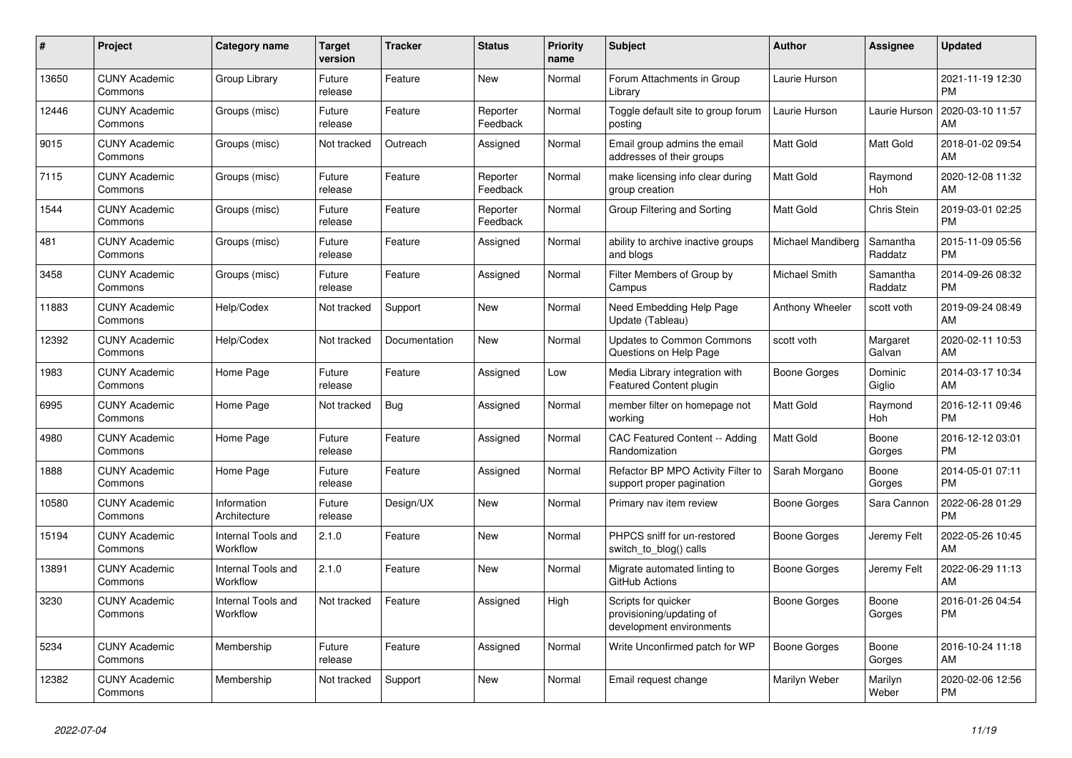| #     | Project                         | <b>Category name</b>           | Target<br>version | <b>Tracker</b> | <b>Status</b>        | <b>Priority</b><br>name | <b>Subject</b>                                                              | <b>Author</b>     | Assignee            | <b>Updated</b>                |
|-------|---------------------------------|--------------------------------|-------------------|----------------|----------------------|-------------------------|-----------------------------------------------------------------------------|-------------------|---------------------|-------------------------------|
| 13650 | <b>CUNY Academic</b><br>Commons | Group Library                  | Future<br>release | Feature        | New                  | Normal                  | Forum Attachments in Group<br>Library                                       | Laurie Hurson     |                     | 2021-11-19 12:30<br><b>PM</b> |
| 12446 | <b>CUNY Academic</b><br>Commons | Groups (misc)                  | Future<br>release | Feature        | Reporter<br>Feedback | Normal                  | Toggle default site to group forum<br>posting                               | Laurie Hurson     | Laurie Hurson       | 2020-03-10 11:57<br>AM        |
| 9015  | <b>CUNY Academic</b><br>Commons | Groups (misc)                  | Not tracked       | Outreach       | Assigned             | Normal                  | Email group admins the email<br>addresses of their groups                   | Matt Gold         | Matt Gold           | 2018-01-02 09:54<br>AM        |
| 7115  | <b>CUNY Academic</b><br>Commons | Groups (misc)                  | Future<br>release | Feature        | Reporter<br>Feedback | Normal                  | make licensing info clear during<br>group creation                          | Matt Gold         | Raymond<br>Hoh      | 2020-12-08 11:32<br>AM        |
| 1544  | <b>CUNY Academic</b><br>Commons | Groups (misc)                  | Future<br>release | Feature        | Reporter<br>Feedback | Normal                  | Group Filtering and Sorting                                                 | Matt Gold         | Chris Stein         | 2019-03-01 02:25<br><b>PM</b> |
| 481   | <b>CUNY Academic</b><br>Commons | Groups (misc)                  | Future<br>release | Feature        | Assigned             | Normal                  | ability to archive inactive groups<br>and blogs                             | Michael Mandiberg | Samantha<br>Raddatz | 2015-11-09 05:56<br><b>PM</b> |
| 3458  | <b>CUNY Academic</b><br>Commons | Groups (misc)                  | Future<br>release | Feature        | Assigned             | Normal                  | Filter Members of Group by<br>Campus                                        | Michael Smith     | Samantha<br>Raddatz | 2014-09-26 08:32<br><b>PM</b> |
| 11883 | <b>CUNY Academic</b><br>Commons | Help/Codex                     | Not tracked       | Support        | <b>New</b>           | Normal                  | Need Embedding Help Page<br>Update (Tableau)                                | Anthony Wheeler   | scott voth          | 2019-09-24 08:49<br>AM        |
| 12392 | <b>CUNY Academic</b><br>Commons | Help/Codex                     | Not tracked       | Documentation  | New                  | Normal                  | Updates to Common Commons<br>Questions on Help Page                         | scott voth        | Margaret<br>Galvan  | 2020-02-11 10:53<br>AM        |
| 1983  | <b>CUNY Academic</b><br>Commons | Home Page                      | Future<br>release | Feature        | Assigned             | Low                     | Media Library integration with<br><b>Featured Content plugin</b>            | Boone Gorges      | Dominic<br>Giglio   | 2014-03-17 10:34<br>AM        |
| 6995  | <b>CUNY Academic</b><br>Commons | Home Page                      | Not tracked       | Bug            | Assigned             | Normal                  | member filter on homepage not<br>workina                                    | Matt Gold         | Raymond<br>Hoh      | 2016-12-11 09:46<br><b>PM</b> |
| 4980  | <b>CUNY Academic</b><br>Commons | Home Page                      | Future<br>release | Feature        | Assigned             | Normal                  | <b>CAC Featured Content -- Adding</b><br>Randomization                      | <b>Matt Gold</b>  | Boone<br>Gorges     | 2016-12-12 03:01<br><b>PM</b> |
| 1888  | <b>CUNY Academic</b><br>Commons | Home Page                      | Future<br>release | Feature        | Assigned             | Normal                  | Refactor BP MPO Activity Filter to<br>support proper pagination             | Sarah Morgano     | Boone<br>Gorges     | 2014-05-01 07:11<br><b>PM</b> |
| 10580 | <b>CUNY Academic</b><br>Commons | Information<br>Architecture    | Future<br>release | Design/UX      | <b>New</b>           | Normal                  | Primary nav item review                                                     | Boone Gorges      | Sara Cannon         | 2022-06-28 01:29<br><b>PM</b> |
| 15194 | <b>CUNY Academic</b><br>Commons | Internal Tools and<br>Workflow | 2.1.0             | Feature        | <b>New</b>           | Normal                  | PHPCS sniff for un-restored<br>switch to blog() calls                       | Boone Gorges      | Jeremy Felt         | 2022-05-26 10:45<br>AM        |
| 13891 | <b>CUNY Academic</b><br>Commons | Internal Tools and<br>Workflow | 2.1.0             | Feature        | New                  | Normal                  | Migrate automated linting to<br>GitHub Actions                              | Boone Gorges      | Jeremy Felt         | 2022-06-29 11:13<br>AM        |
| 3230  | <b>CUNY Academic</b><br>Commons | Internal Tools and<br>Workflow | Not tracked       | Feature        | Assigned             | High                    | Scripts for quicker<br>provisioning/updating of<br>development environments | Boone Gorges      | Boone<br>Gorges     | 2016-01-26 04:54<br><b>PM</b> |
| 5234  | <b>CUNY Academic</b><br>Commons | Membership                     | Future<br>release | Feature        | Assigned             | Normal                  | Write Unconfirmed patch for WP                                              | Boone Gorges      | Boone<br>Gorges     | 2016-10-24 11:18<br>AM        |
| 12382 | <b>CUNY Academic</b><br>Commons | Membership                     | Not tracked       | Support        | <b>New</b>           | Normal                  | Email request change                                                        | Marilyn Weber     | Marilyn<br>Weber    | 2020-02-06 12:56<br><b>PM</b> |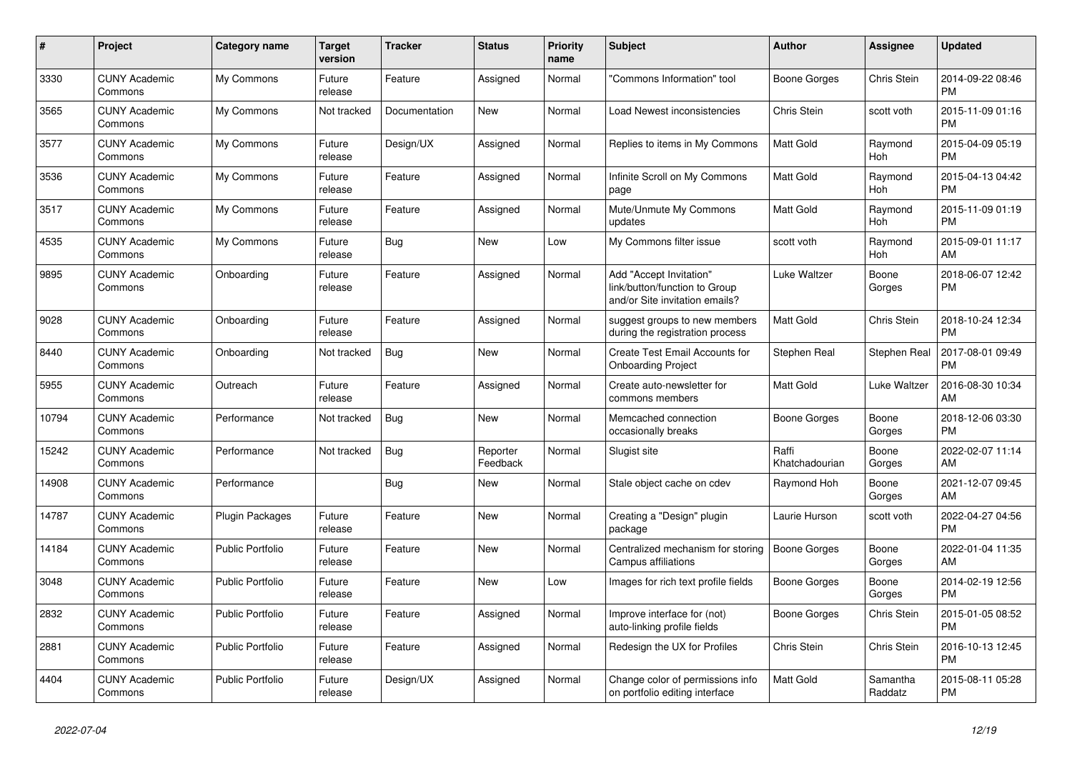| $\#$  | Project                         | <b>Category name</b>    | <b>Target</b><br>version | <b>Tracker</b> | <b>Status</b>        | <b>Priority</b><br>name | <b>Subject</b>                                                                             | <b>Author</b>           | <b>Assignee</b>     | <b>Updated</b>                |
|-------|---------------------------------|-------------------------|--------------------------|----------------|----------------------|-------------------------|--------------------------------------------------------------------------------------------|-------------------------|---------------------|-------------------------------|
| 3330  | <b>CUNY Academic</b><br>Commons | My Commons              | Future<br>release        | Feature        | Assigned             | Normal                  | "Commons Information" tool                                                                 | Boone Gorges            | Chris Stein         | 2014-09-22 08:46<br><b>PM</b> |
| 3565  | <b>CUNY Academic</b><br>Commons | My Commons              | Not tracked              | Documentation  | New                  | Normal                  | Load Newest inconsistencies                                                                | Chris Stein             | scott voth          | 2015-11-09 01:16<br><b>PM</b> |
| 3577  | <b>CUNY Academic</b><br>Commons | My Commons              | Future<br>release        | Design/UX      | Assigned             | Normal                  | Replies to items in My Commons                                                             | <b>Matt Gold</b>        | Raymond<br>Hoh      | 2015-04-09 05:19<br><b>PM</b> |
| 3536  | <b>CUNY Academic</b><br>Commons | My Commons              | Future<br>release        | Feature        | Assigned             | Normal                  | Infinite Scroll on My Commons<br>page                                                      | Matt Gold               | Raymond<br>Hoh      | 2015-04-13 04:42<br><b>PM</b> |
| 3517  | <b>CUNY Academic</b><br>Commons | My Commons              | Future<br>release        | Feature        | Assigned             | Normal                  | Mute/Unmute My Commons<br>updates                                                          | Matt Gold               | Raymond<br>Hoh      | 2015-11-09 01:19<br><b>PM</b> |
| 4535  | <b>CUNY Academic</b><br>Commons | My Commons              | Future<br>release        | Bug            | New                  | Low                     | My Commons filter issue                                                                    | scott voth              | Raymond<br>Hoh      | 2015-09-01 11:17<br>AM        |
| 9895  | <b>CUNY Academic</b><br>Commons | Onboarding              | Future<br>release        | Feature        | Assigned             | Normal                  | Add "Accept Invitation"<br>link/button/function to Group<br>and/or Site invitation emails? | Luke Waltzer            | Boone<br>Gorges     | 2018-06-07 12:42<br><b>PM</b> |
| 9028  | <b>CUNY Academic</b><br>Commons | Onboarding              | Future<br>release        | Feature        | Assigned             | Normal                  | suggest groups to new members<br>during the registration process                           | Matt Gold               | Chris Stein         | 2018-10-24 12:34<br><b>PM</b> |
| 8440  | <b>CUNY Academic</b><br>Commons | Onboarding              | Not tracked              | Bug            | New                  | Normal                  | Create Test Email Accounts for<br><b>Onboarding Project</b>                                | Stephen Real            | Stephen Real        | 2017-08-01 09:49<br><b>PM</b> |
| 5955  | <b>CUNY Academic</b><br>Commons | Outreach                | Future<br>release        | Feature        | Assigned             | Normal                  | Create auto-newsletter for<br>commons members                                              | <b>Matt Gold</b>        | Luke Waltzer        | 2016-08-30 10:34<br>AM        |
| 10794 | <b>CUNY Academic</b><br>Commons | Performance             | Not tracked              | Bug            | New                  | Normal                  | Memcached connection<br>occasionally breaks                                                | Boone Gorges            | Boone<br>Gorges     | 2018-12-06 03:30<br><b>PM</b> |
| 15242 | <b>CUNY Academic</b><br>Commons | Performance             | Not tracked              | <b>Bug</b>     | Reporter<br>Feedback | Normal                  | Slugist site                                                                               | Raffi<br>Khatchadourian | Boone<br>Gorges     | 2022-02-07 11:14<br>AM        |
| 14908 | <b>CUNY Academic</b><br>Commons | Performance             |                          | Bug            | New                  | Normal                  | Stale object cache on cdev                                                                 | Raymond Hoh             | Boone<br>Gorges     | 2021-12-07 09:45<br>AM        |
| 14787 | <b>CUNY Academic</b><br>Commons | <b>Plugin Packages</b>  | Future<br>release        | Feature        | New                  | Normal                  | Creating a "Design" plugin<br>package                                                      | Laurie Hurson           | scott voth          | 2022-04-27 04:56<br><b>PM</b> |
| 14184 | <b>CUNY Academic</b><br>Commons | <b>Public Portfolio</b> | Future<br>release        | Feature        | New                  | Normal                  | Centralized mechanism for storing<br>Campus affiliations                                   | <b>Boone Gorges</b>     | Boone<br>Gorges     | 2022-01-04 11:35<br>AM        |
| 3048  | <b>CUNY Academic</b><br>Commons | <b>Public Portfolio</b> | Future<br>release        | Feature        | New                  | Low                     | Images for rich text profile fields                                                        | Boone Gorges            | Boone<br>Gorges     | 2014-02-19 12:56<br><b>PM</b> |
| 2832  | <b>CUNY Academic</b><br>Commons | <b>Public Portfolio</b> | Future<br>release        | Feature        | Assigned             | Normal                  | Improve interface for (not)<br>auto-linking profile fields                                 | Boone Gorges            | Chris Stein         | 2015-01-05 08:52<br><b>PM</b> |
| 2881  | <b>CUNY Academic</b><br>Commons | <b>Public Portfolio</b> | Future<br>release        | Feature        | Assigned             | Normal                  | Redesign the UX for Profiles                                                               | Chris Stein             | Chris Stein         | 2016-10-13 12:45<br><b>PM</b> |
| 4404  | <b>CUNY Academic</b><br>Commons | Public Portfolio        | Future<br>release        | Design/UX      | Assigned             | Normal                  | Change color of permissions info<br>on portfolio editing interface                         | Matt Gold               | Samantha<br>Raddatz | 2015-08-11 05:28<br><b>PM</b> |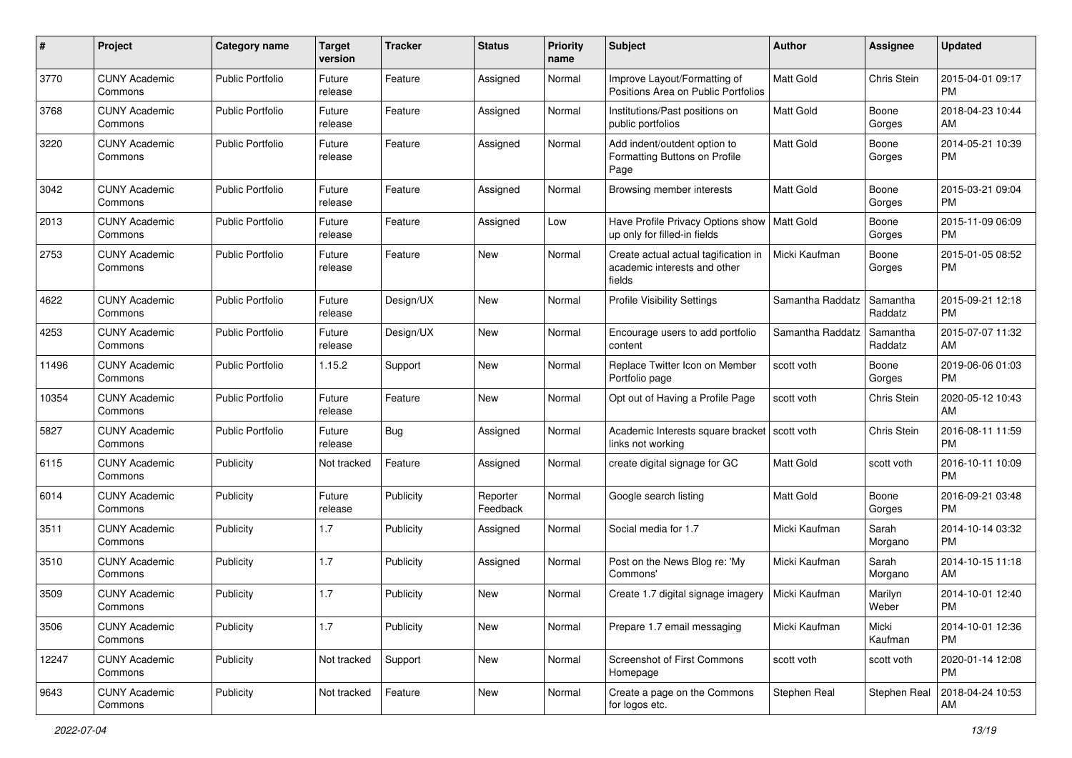| #     | Project                         | <b>Category name</b>    | <b>Target</b><br>version | <b>Tracker</b> | <b>Status</b>        | <b>Priority</b><br>name | <b>Subject</b>                                                                 | <b>Author</b>    | <b>Assignee</b>     | <b>Updated</b>                |
|-------|---------------------------------|-------------------------|--------------------------|----------------|----------------------|-------------------------|--------------------------------------------------------------------------------|------------------|---------------------|-------------------------------|
| 3770  | <b>CUNY Academic</b><br>Commons | <b>Public Portfolio</b> | Future<br>release        | Feature        | Assigned             | Normal                  | Improve Layout/Formatting of<br>Positions Area on Public Portfolios            | <b>Matt Gold</b> | Chris Stein         | 2015-04-01 09:17<br><b>PM</b> |
| 3768  | <b>CUNY Academic</b><br>Commons | <b>Public Portfolio</b> | Future<br>release        | Feature        | Assigned             | Normal                  | Institutions/Past positions on<br>public portfolios                            | Matt Gold        | Boone<br>Gorges     | 2018-04-23 10:44<br>AM        |
| 3220  | <b>CUNY Academic</b><br>Commons | <b>Public Portfolio</b> | Future<br>release        | Feature        | Assigned             | Normal                  | Add indent/outdent option to<br>Formatting Buttons on Profile<br>Page          | Matt Gold        | Boone<br>Gorges     | 2014-05-21 10:39<br><b>PM</b> |
| 3042  | <b>CUNY Academic</b><br>Commons | <b>Public Portfolio</b> | Future<br>release        | Feature        | Assigned             | Normal                  | Browsing member interests                                                      | Matt Gold        | Boone<br>Gorges     | 2015-03-21 09:04<br>PM.       |
| 2013  | <b>CUNY Academic</b><br>Commons | Public Portfolio        | Future<br>release        | Feature        | Assigned             | Low                     | Have Profile Privacy Options show<br>up only for filled-in fields              | Matt Gold        | Boone<br>Gorges     | 2015-11-09 06:09<br>PM        |
| 2753  | <b>CUNY Academic</b><br>Commons | <b>Public Portfolio</b> | Future<br>release        | Feature        | New                  | Normal                  | Create actual actual tagification in<br>academic interests and other<br>fields | Micki Kaufman    | Boone<br>Gorges     | 2015-01-05 08:52<br><b>PM</b> |
| 4622  | <b>CUNY Academic</b><br>Commons | <b>Public Portfolio</b> | Future<br>release        | Design/UX      | New                  | Normal                  | <b>Profile Visibility Settings</b>                                             | Samantha Raddatz | Samantha<br>Raddatz | 2015-09-21 12:18<br><b>PM</b> |
| 4253  | <b>CUNY Academic</b><br>Commons | <b>Public Portfolio</b> | Future<br>release        | Design/UX      | New                  | Normal                  | Encourage users to add portfolio<br>content                                    | Samantha Raddatz | Samantha<br>Raddatz | 2015-07-07 11:32<br>AM.       |
| 11496 | <b>CUNY Academic</b><br>Commons | <b>Public Portfolio</b> | 1.15.2                   | Support        | New                  | Normal                  | Replace Twitter Icon on Member<br>Portfolio page                               | scott voth       | Boone<br>Gorges     | 2019-06-06 01:03<br>PM.       |
| 10354 | <b>CUNY Academic</b><br>Commons | Public Portfolio        | Future<br>release        | Feature        | New                  | Normal                  | Opt out of Having a Profile Page                                               | scott voth       | Chris Stein         | 2020-05-12 10:43<br>AM.       |
| 5827  | <b>CUNY Academic</b><br>Commons | <b>Public Portfolio</b> | Future<br>release        | Bug            | Assigned             | Normal                  | Academic Interests square bracket<br>links not working                         | scott voth       | Chris Stein         | 2016-08-11 11:59<br><b>PM</b> |
| 6115  | <b>CUNY Academic</b><br>Commons | Publicity               | Not tracked              | Feature        | Assigned             | Normal                  | create digital signage for GC                                                  | Matt Gold        | scott voth          | 2016-10-11 10:09<br><b>PM</b> |
| 6014  | <b>CUNY Academic</b><br>Commons | Publicity               | Future<br>release        | Publicity      | Reporter<br>Feedback | Normal                  | Google search listing                                                          | <b>Matt Gold</b> | Boone<br>Gorges     | 2016-09-21 03:48<br>PM.       |
| 3511  | <b>CUNY Academic</b><br>Commons | Publicity               | 1.7                      | Publicity      | Assigned             | Normal                  | Social media for 1.7                                                           | Micki Kaufman    | Sarah<br>Morgano    | 2014-10-14 03:32<br><b>PM</b> |
| 3510  | <b>CUNY Academic</b><br>Commons | Publicity               | 1.7                      | Publicity      | Assigned             | Normal                  | Post on the News Blog re: 'My<br>Commons'                                      | Micki Kaufman    | Sarah<br>Morgano    | 2014-10-15 11:18<br>AM.       |
| 3509  | <b>CUNY Academic</b><br>Commons | Publicity               | 1.7                      | Publicity      | New                  | Normal                  | Create 1.7 digital signage imagery                                             | Micki Kaufman    | Marilyn<br>Weber    | 2014-10-01 12:40<br>PM        |
| 3506  | <b>CUNY Academic</b><br>Commons | Publicity               | 1.7                      | Publicity      | New                  | Normal                  | Prepare 1.7 email messaging                                                    | Micki Kaufman    | Micki<br>Kaufman    | 2014-10-01 12:36<br>PM.       |
| 12247 | <b>CUNY Academic</b><br>Commons | Publicity               | Not tracked              | Support        | New                  | Normal                  | <b>Screenshot of First Commons</b><br>Homepage                                 | scott voth       | scott voth          | 2020-01-14 12:08<br><b>PM</b> |
| 9643  | <b>CUNY Academic</b><br>Commons | Publicity               | Not tracked              | Feature        | New                  | Normal                  | Create a page on the Commons<br>for logos etc.                                 | Stephen Real     | Stephen Real        | 2018-04-24 10:53<br>AM        |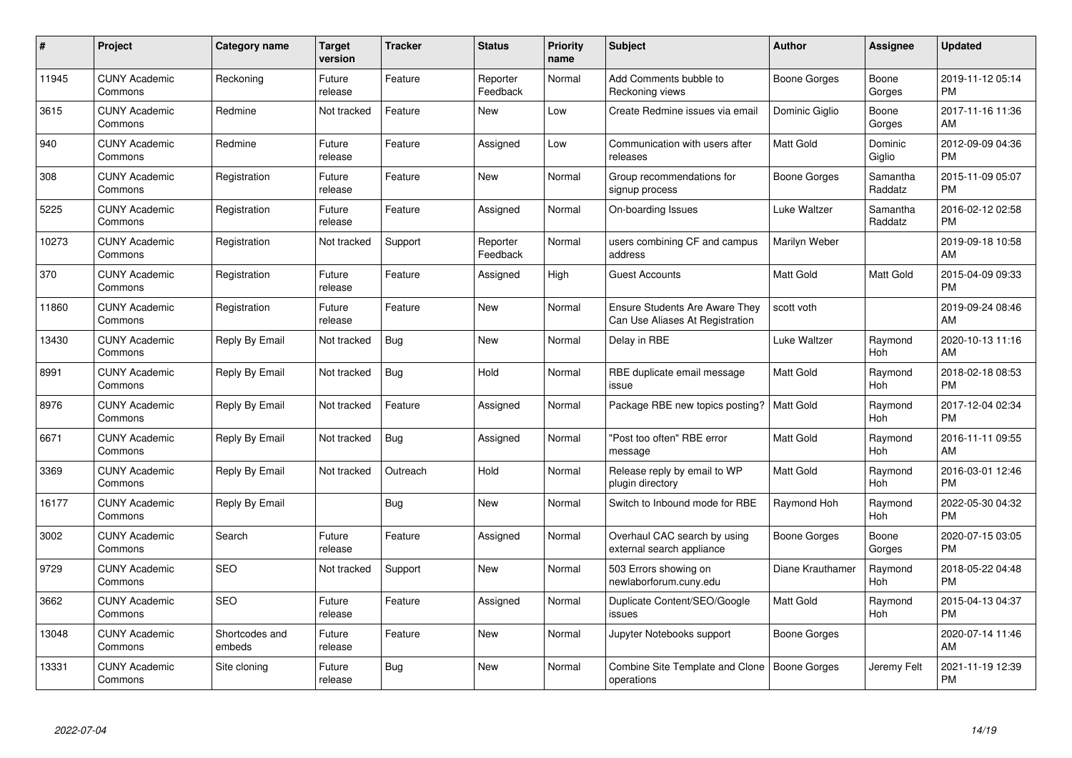| $\#$  | Project                         | <b>Category name</b>     | <b>Target</b><br>version | <b>Tracker</b> | <b>Status</b>        | Priority<br>name | <b>Subject</b>                                                           | <b>Author</b>    | <b>Assignee</b>     | <b>Updated</b>                |
|-------|---------------------------------|--------------------------|--------------------------|----------------|----------------------|------------------|--------------------------------------------------------------------------|------------------|---------------------|-------------------------------|
| 11945 | <b>CUNY Academic</b><br>Commons | Reckoning                | Future<br>release        | Feature        | Reporter<br>Feedback | Normal           | Add Comments bubble to<br>Reckoning views                                | Boone Gorges     | Boone<br>Gorges     | 2019-11-12 05:14<br><b>PM</b> |
| 3615  | <b>CUNY Academic</b><br>Commons | Redmine                  | Not tracked              | Feature        | <b>New</b>           | Low              | Create Redmine issues via email                                          | Dominic Giglio   | Boone<br>Gorges     | 2017-11-16 11:36<br>AM        |
| 940   | <b>CUNY Academic</b><br>Commons | Redmine                  | Future<br>release        | Feature        | Assigned             | Low              | Communication with users after<br>releases                               | Matt Gold        | Dominic<br>Giglio   | 2012-09-09 04:36<br><b>PM</b> |
| 308   | <b>CUNY Academic</b><br>Commons | Registration             | Future<br>release        | Feature        | <b>New</b>           | Normal           | Group recommendations for<br>signup process                              | Boone Gorges     | Samantha<br>Raddatz | 2015-11-09 05:07<br><b>PM</b> |
| 5225  | <b>CUNY Academic</b><br>Commons | Registration             | Future<br>release        | Feature        | Assigned             | Normal           | On-boarding Issues                                                       | Luke Waltzer     | Samantha<br>Raddatz | 2016-02-12 02:58<br><b>PM</b> |
| 10273 | <b>CUNY Academic</b><br>Commons | Registration             | Not tracked              | Support        | Reporter<br>Feedback | Normal           | users combining CF and campus<br>address                                 | Marilyn Weber    |                     | 2019-09-18 10:58<br>AM        |
| 370   | <b>CUNY Academic</b><br>Commons | Registration             | Future<br>release        | Feature        | Assigned             | High             | <b>Guest Accounts</b>                                                    | <b>Matt Gold</b> | Matt Gold           | 2015-04-09 09:33<br><b>PM</b> |
| 11860 | <b>CUNY Academic</b><br>Commons | Registration             | Future<br>release        | Feature        | <b>New</b>           | Normal           | <b>Ensure Students Are Aware They</b><br>Can Use Aliases At Registration | scott voth       |                     | 2019-09-24 08:46<br>AM        |
| 13430 | <b>CUNY Academic</b><br>Commons | Reply By Email           | Not tracked              | <b>Bug</b>     | New                  | Normal           | Delay in RBE                                                             | Luke Waltzer     | Raymond<br>Hoh      | 2020-10-13 11:16<br>AM        |
| 8991  | <b>CUNY Academic</b><br>Commons | Reply By Email           | Not tracked              | Bug            | Hold                 | Normal           | RBE duplicate email message<br>issue                                     | <b>Matt Gold</b> | Raymond<br>Hoh      | 2018-02-18 08:53<br><b>PM</b> |
| 8976  | <b>CUNY Academic</b><br>Commons | Reply By Email           | Not tracked              | Feature        | Assigned             | Normal           | Package RBE new topics posting?                                          | <b>Matt Gold</b> | Raymond<br>Hoh      | 2017-12-04 02:34<br><b>PM</b> |
| 6671  | <b>CUNY Academic</b><br>Commons | Reply By Email           | Not tracked              | Bug            | Assigned             | Normal           | "Post too often" RBE error<br>message                                    | <b>Matt Gold</b> | Raymond<br>Hoh      | 2016-11-11 09:55<br>AM        |
| 3369  | <b>CUNY Academic</b><br>Commons | Reply By Email           | Not tracked              | Outreach       | Hold                 | Normal           | Release reply by email to WP<br>plugin directory                         | Matt Gold        | Raymond<br>Hoh      | 2016-03-01 12:46<br><b>PM</b> |
| 16177 | <b>CUNY Academic</b><br>Commons | Reply By Email           |                          | Bug            | New                  | Normal           | Switch to Inbound mode for RBE                                           | Raymond Hoh      | Raymond<br>Hoh      | 2022-05-30 04:32<br><b>PM</b> |
| 3002  | <b>CUNY Academic</b><br>Commons | Search                   | Future<br>release        | Feature        | Assigned             | Normal           | Overhaul CAC search by using<br>external search appliance                | Boone Gorges     | Boone<br>Gorges     | 2020-07-15 03:05<br><b>PM</b> |
| 9729  | <b>CUNY Academic</b><br>Commons | <b>SEO</b>               | Not tracked              | Support        | <b>New</b>           | Normal           | 503 Errors showing on<br>newlaborforum.cuny.edu                          | Diane Krauthamer | Raymond<br>Hoh      | 2018-05-22 04:48<br><b>PM</b> |
| 3662  | <b>CUNY Academic</b><br>Commons | <b>SEO</b>               | Future<br>release        | Feature        | Assigned             | Normal           | Duplicate Content/SEO/Google<br>issues                                   | Matt Gold        | Raymond<br>Hoh      | 2015-04-13 04:37<br><b>PM</b> |
| 13048 | <b>CUNY Academic</b><br>Commons | Shortcodes and<br>embeds | Future<br>release        | Feature        | New                  | Normal           | Jupyter Notebooks support                                                | Boone Gorges     |                     | 2020-07-14 11:46<br>AM        |
| 13331 | <b>CUNY Academic</b><br>Commons | Site cloning             | Future<br>release        | Bug            | <b>New</b>           | Normal           | Combine Site Template and Clone<br>operations                            | Boone Gorges     | Jeremy Felt         | 2021-11-19 12:39<br><b>PM</b> |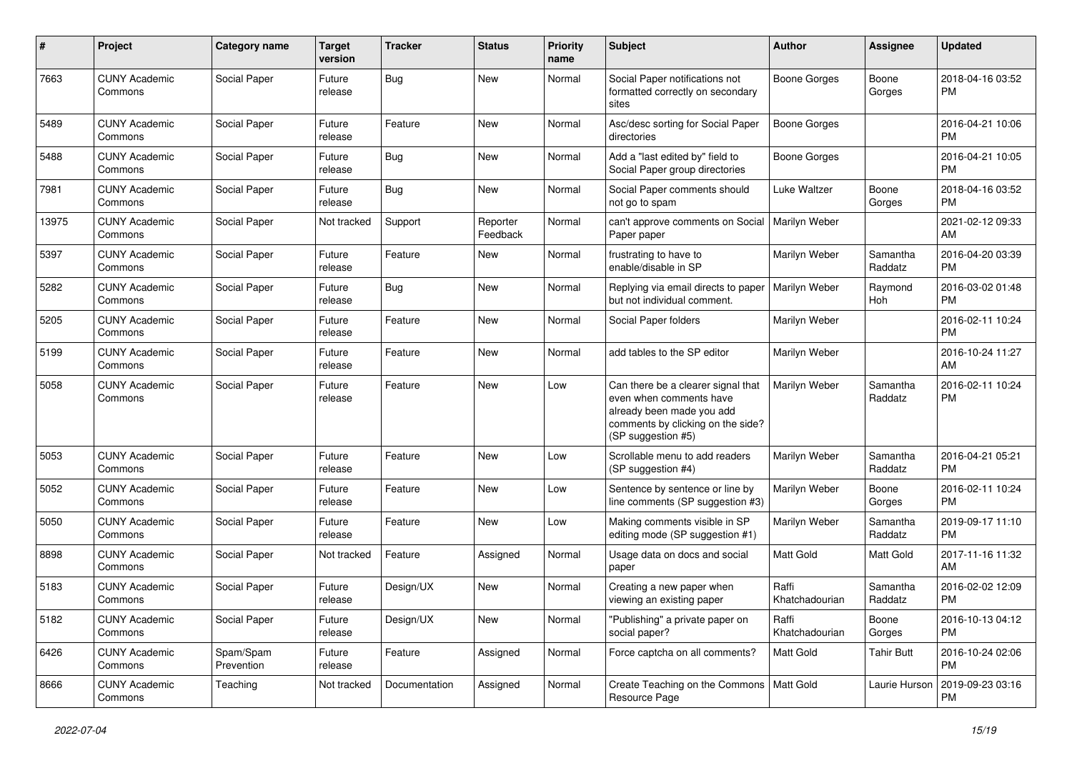| #     | Project                         | <b>Category name</b>    | <b>Target</b><br>version | <b>Tracker</b> | <b>Status</b>        | Priority<br>name | <b>Subject</b>                                                                                                                                        | Author                  | <b>Assignee</b>     | <b>Updated</b>                |
|-------|---------------------------------|-------------------------|--------------------------|----------------|----------------------|------------------|-------------------------------------------------------------------------------------------------------------------------------------------------------|-------------------------|---------------------|-------------------------------|
| 7663  | <b>CUNY Academic</b><br>Commons | Social Paper            | Future<br>release        | <b>Bug</b>     | <b>New</b>           | Normal           | Social Paper notifications not<br>formatted correctly on secondary<br>sites                                                                           | <b>Boone Gorges</b>     | Boone<br>Gorges     | 2018-04-16 03:52<br><b>PM</b> |
| 5489  | <b>CUNY Academic</b><br>Commons | Social Paper            | Future<br>release        | Feature        | <b>New</b>           | Normal           | Asc/desc sorting for Social Paper<br>directories                                                                                                      | <b>Boone Gorges</b>     |                     | 2016-04-21 10:06<br><b>PM</b> |
| 5488  | <b>CUNY Academic</b><br>Commons | Social Paper            | Future<br>release        | Bug            | New                  | Normal           | Add a "last edited by" field to<br>Social Paper group directories                                                                                     | <b>Boone Gorges</b>     |                     | 2016-04-21 10:05<br><b>PM</b> |
| 7981  | <b>CUNY Academic</b><br>Commons | Social Paper            | Future<br>release        | Bug            | <b>New</b>           | Normal           | Social Paper comments should<br>not go to spam                                                                                                        | Luke Waltzer            | Boone<br>Gorges     | 2018-04-16 03:52<br><b>PM</b> |
| 13975 | <b>CUNY Academic</b><br>Commons | Social Paper            | Not tracked              | Support        | Reporter<br>Feedback | Normal           | can't approve comments on Social<br>Paper paper                                                                                                       | Marilyn Weber           |                     | 2021-02-12 09:33<br>AM        |
| 5397  | <b>CUNY Academic</b><br>Commons | Social Paper            | Future<br>release        | Feature        | New                  | Normal           | frustrating to have to<br>enable/disable in SP                                                                                                        | Marilyn Weber           | Samantha<br>Raddatz | 2016-04-20 03:39<br><b>PM</b> |
| 5282  | <b>CUNY Academic</b><br>Commons | Social Paper            | Future<br>release        | Bug            | New                  | Normal           | Replying via email directs to paper<br>but not individual comment.                                                                                    | Marilyn Weber           | Raymond<br>Hoh      | 2016-03-02 01:48<br><b>PM</b> |
| 5205  | <b>CUNY Academic</b><br>Commons | Social Paper            | Future<br>release        | Feature        | <b>New</b>           | Normal           | Social Paper folders                                                                                                                                  | Marilyn Weber           |                     | 2016-02-11 10:24<br><b>PM</b> |
| 5199  | <b>CUNY Academic</b><br>Commons | Social Paper            | Future<br>release        | Feature        | <b>New</b>           | Normal           | add tables to the SP editor                                                                                                                           | Marilyn Weber           |                     | 2016-10-24 11:27<br>AM        |
| 5058  | <b>CUNY Academic</b><br>Commons | Social Paper            | Future<br>release        | Feature        | New                  | Low              | Can there be a clearer signal that<br>even when comments have<br>already been made you add<br>comments by clicking on the side?<br>(SP suggestion #5) | Marilyn Weber           | Samantha<br>Raddatz | 2016-02-11 10:24<br><b>PM</b> |
| 5053  | <b>CUNY Academic</b><br>Commons | Social Paper            | Future<br>release        | Feature        | New                  | Low              | Scrollable menu to add readers<br>(SP suggestion #4)                                                                                                  | Marilyn Weber           | Samantha<br>Raddatz | 2016-04-21 05:21<br><b>PM</b> |
| 5052  | <b>CUNY Academic</b><br>Commons | Social Paper            | Future<br>release        | Feature        | New                  | Low              | Sentence by sentence or line by<br>line comments (SP suggestion #3)                                                                                   | Marilyn Weber           | Boone<br>Gorges     | 2016-02-11 10:24<br><b>PM</b> |
| 5050  | <b>CUNY Academic</b><br>Commons | Social Paper            | Future<br>release        | Feature        | <b>New</b>           | Low              | Making comments visible in SP<br>editing mode (SP suggestion #1)                                                                                      | Marilyn Weber           | Samantha<br>Raddatz | 2019-09-17 11:10<br><b>PM</b> |
| 8898  | <b>CUNY Academic</b><br>Commons | Social Paper            | Not tracked              | Feature        | Assigned             | Normal           | Usage data on docs and social<br>paper                                                                                                                | <b>Matt Gold</b>        | Matt Gold           | 2017-11-16 11:32<br>AM        |
| 5183  | <b>CUNY Academic</b><br>Commons | Social Paper            | Future<br>release        | Design/UX      | <b>New</b>           | Normal           | Creating a new paper when<br>viewing an existing paper                                                                                                | Raffi<br>Khatchadourian | Samantha<br>Raddatz | 2016-02-02 12:09<br><b>PM</b> |
| 5182  | <b>CUNY Academic</b><br>Commons | Social Paper            | Future<br>release        | Design/UX      | New                  | Normal           | "Publishing" a private paper on<br>social paper?                                                                                                      | Raffi<br>Khatchadourian | Boone<br>Gorges     | 2016-10-13 04:12<br><b>PM</b> |
| 6426  | <b>CUNY Academic</b><br>Commons | Spam/Spam<br>Prevention | Future<br>release        | Feature        | Assigned             | Normal           | Force captcha on all comments?                                                                                                                        | Matt Gold               | <b>Tahir Butt</b>   | 2016-10-24 02:06<br><b>PM</b> |
| 8666  | <b>CUNY Academic</b><br>Commons | Teaching                | Not tracked              | Documentation  | Assigned             | Normal           | Create Teaching on the Commons   Matt Gold<br>Resource Page                                                                                           |                         | Laurie Hurson       | 2019-09-23 03:16<br><b>PM</b> |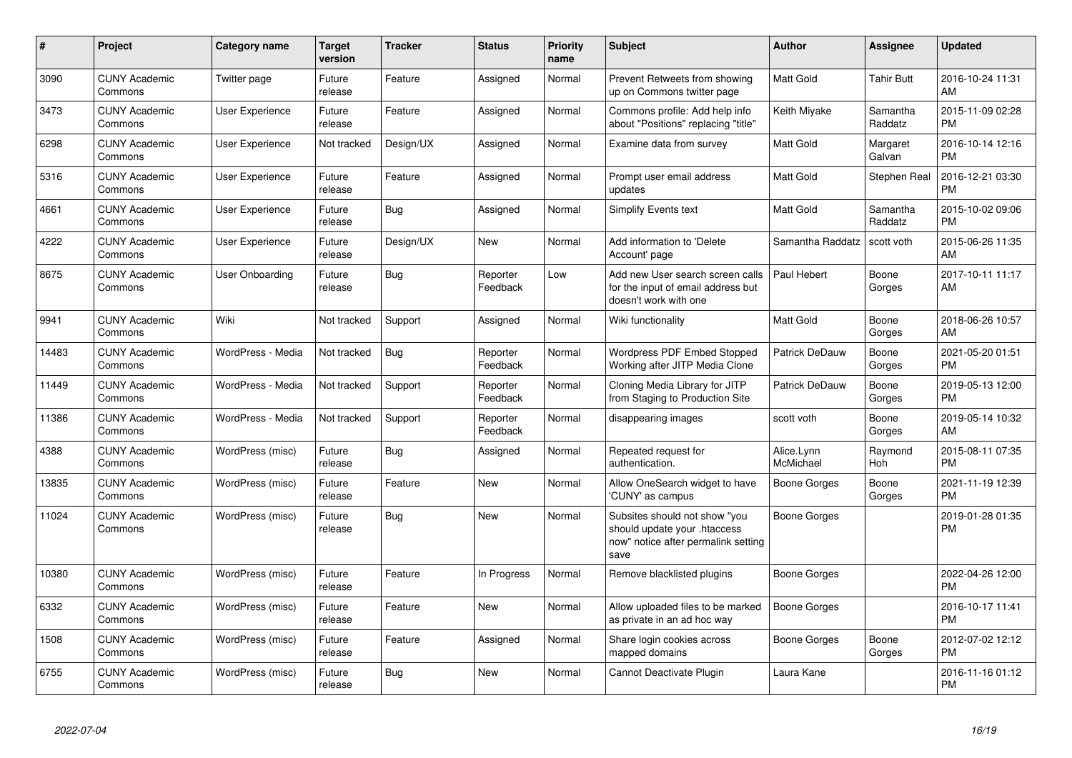| #     | <b>Project</b>                  | Category name          | <b>Target</b><br>version | <b>Tracker</b> | <b>Status</b>        | <b>Priority</b><br>name | <b>Subject</b>                                                                                               | <b>Author</b>           | Assignee            | <b>Updated</b>                |
|-------|---------------------------------|------------------------|--------------------------|----------------|----------------------|-------------------------|--------------------------------------------------------------------------------------------------------------|-------------------------|---------------------|-------------------------------|
| 3090  | <b>CUNY Academic</b><br>Commons | Twitter page           | Future<br>release        | Feature        | Assigned             | Normal                  | Prevent Retweets from showing<br>up on Commons twitter page                                                  | <b>Matt Gold</b>        | Tahir Butt          | 2016-10-24 11:31<br>AM        |
| 3473  | <b>CUNY Academic</b><br>Commons | <b>User Experience</b> | Future<br>release        | Feature        | Assigned             | Normal                  | Commons profile: Add help info<br>about "Positions" replacing "title"                                        | Keith Miyake            | Samantha<br>Raddatz | 2015-11-09 02:28<br><b>PM</b> |
| 6298  | <b>CUNY Academic</b><br>Commons | <b>User Experience</b> | Not tracked              | Design/UX      | Assigned             | Normal                  | Examine data from survey                                                                                     | <b>Matt Gold</b>        | Margaret<br>Galvan  | 2016-10-14 12:16<br><b>PM</b> |
| 5316  | <b>CUNY Academic</b><br>Commons | <b>User Experience</b> | Future<br>release        | Feature        | Assigned             | Normal                  | Prompt user email address<br>updates                                                                         | <b>Matt Gold</b>        | Stephen Real        | 2016-12-21 03:30<br><b>PM</b> |
| 4661  | <b>CUNY Academic</b><br>Commons | User Experience        | Future<br>release        | Bug            | Assigned             | Normal                  | Simplify Events text                                                                                         | <b>Matt Gold</b>        | Samantha<br>Raddatz | 2015-10-02 09:06<br><b>PM</b> |
| 4222  | <b>CUNY Academic</b><br>Commons | <b>User Experience</b> | Future<br>release        | Design/UX      | New                  | Normal                  | Add information to 'Delete<br>Account' page                                                                  | Samantha Raddatz        | scott voth          | 2015-06-26 11:35<br>AM        |
| 8675  | <b>CUNY Academic</b><br>Commons | <b>User Onboarding</b> | Future<br>release        | Bug            | Reporter<br>Feedback | Low                     | Add new User search screen calls<br>for the input of email address but<br>doesn't work with one              | Paul Hebert             | Boone<br>Gorges     | 2017-10-11 11:17<br>AM        |
| 9941  | <b>CUNY Academic</b><br>Commons | Wiki                   | Not tracked              | Support        | Assigned             | Normal                  | Wiki functionality                                                                                           | <b>Matt Gold</b>        | Boone<br>Gorges     | 2018-06-26 10:57<br>AM        |
| 14483 | <b>CUNY Academic</b><br>Commons | WordPress - Media      | Not tracked              | Bug            | Reporter<br>Feedback | Normal                  | Wordpress PDF Embed Stopped<br>Working after JITP Media Clone                                                | Patrick DeDauw          | Boone<br>Gorges     | 2021-05-20 01:51<br><b>PM</b> |
| 11449 | <b>CUNY Academic</b><br>Commons | WordPress - Media      | Not tracked              | Support        | Reporter<br>Feedback | Normal                  | Cloning Media Library for JITP<br>from Staging to Production Site                                            | Patrick DeDauw          | Boone<br>Gorges     | 2019-05-13 12:00<br><b>PM</b> |
| 11386 | <b>CUNY Academic</b><br>Commons | WordPress - Media      | Not tracked              | Support        | Reporter<br>Feedback | Normal                  | disappearing images                                                                                          | scott voth              | Boone<br>Gorges     | 2019-05-14 10:32<br>AM        |
| 4388  | <b>CUNY Academic</b><br>Commons | WordPress (misc)       | Future<br>release        | Bug            | Assigned             | Normal                  | Repeated request for<br>authentication.                                                                      | Alice.Lynn<br>McMichael | Raymond<br>Hoh      | 2015-08-11 07:35<br><b>PM</b> |
| 13835 | <b>CUNY Academic</b><br>Commons | WordPress (misc)       | Future<br>release        | Feature        | <b>New</b>           | Normal                  | Allow OneSearch widget to have<br>'CUNY' as campus                                                           | Boone Gorges            | Boone<br>Gorges     | 2021-11-19 12:39<br><b>PM</b> |
| 11024 | <b>CUNY Academic</b><br>Commons | WordPress (misc)       | Future<br>release        | Bug            | <b>New</b>           | Normal                  | Subsites should not show "you<br>should update your .htaccess<br>now" notice after permalink setting<br>save | Boone Gorges            |                     | 2019-01-28 01:35<br><b>PM</b> |
| 10380 | <b>CUNY Academic</b><br>Commons | WordPress (misc)       | Future<br>release        | Feature        | In Progress          | Normal                  | Remove blacklisted plugins                                                                                   | Boone Gorges            |                     | 2022-04-26 12:00<br><b>PM</b> |
| 6332  | <b>CUNY Academic</b><br>Commons | WordPress (misc)       | Future<br>release        | Feature        | New                  | Normal                  | Allow uploaded files to be marked<br>as private in an ad hoc way                                             | <b>Boone Gorges</b>     |                     | 2016-10-17 11:41<br><b>PM</b> |
| 1508  | <b>CUNY Academic</b><br>Commons | WordPress (misc)       | Future<br>release        | Feature        | Assigned             | Normal                  | Share login cookies across<br>mapped domains                                                                 | Boone Gorges            | Boone<br>Gorges     | 2012-07-02 12:12<br><b>PM</b> |
| 6755  | <b>CUNY Academic</b><br>Commons | WordPress (misc)       | Future<br>release        | Bug            | <b>New</b>           | Normal                  | Cannot Deactivate Plugin                                                                                     | Laura Kane              |                     | 2016-11-16 01:12<br><b>PM</b> |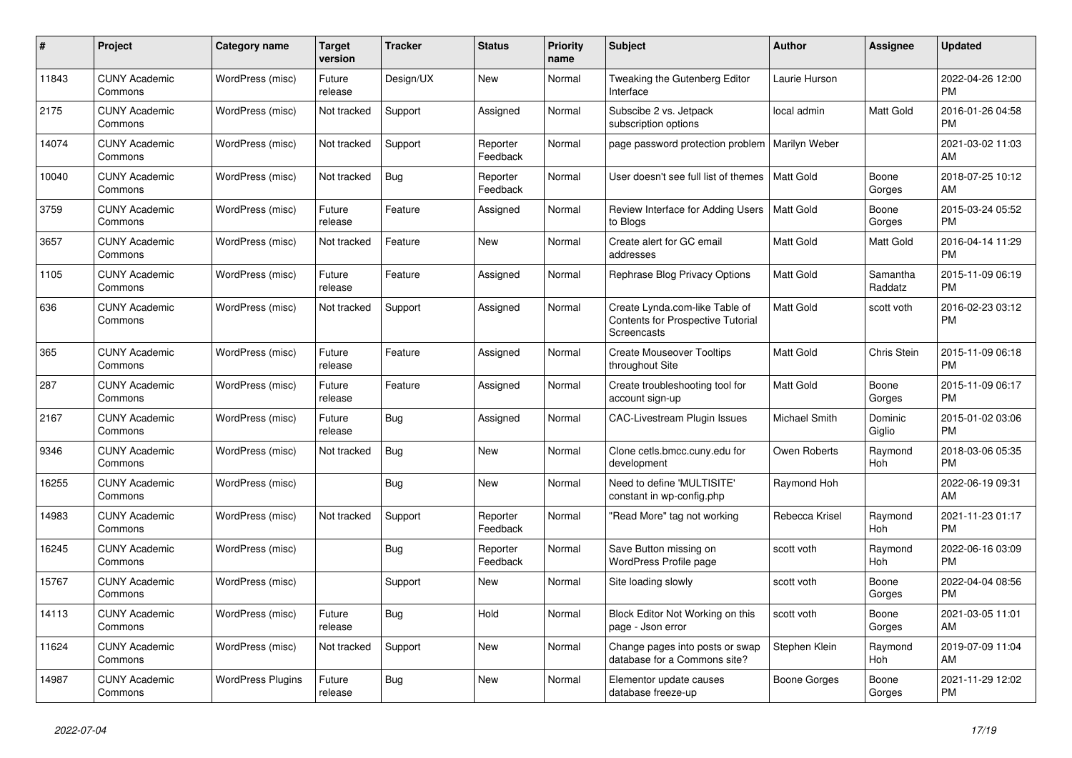| $\#$  | Project                         | <b>Category name</b>     | <b>Target</b><br>version | <b>Tracker</b> | <b>Status</b>        | Priority<br>name | <b>Subject</b>                                                                                   | <b>Author</b>    | <b>Assignee</b>     | <b>Updated</b>                |
|-------|---------------------------------|--------------------------|--------------------------|----------------|----------------------|------------------|--------------------------------------------------------------------------------------------------|------------------|---------------------|-------------------------------|
| 11843 | <b>CUNY Academic</b><br>Commons | WordPress (misc)         | Future<br>release        | Design/UX      | New                  | Normal           | Tweaking the Gutenberg Editor<br>Interface                                                       | Laurie Hurson    |                     | 2022-04-26 12:00<br><b>PM</b> |
| 2175  | <b>CUNY Academic</b><br>Commons | WordPress (misc)         | Not tracked              | Support        | Assigned             | Normal           | Subscibe 2 vs. Jetpack<br>subscription options                                                   | local admin      | Matt Gold           | 2016-01-26 04:58<br><b>PM</b> |
| 14074 | <b>CUNY Academic</b><br>Commons | WordPress (misc)         | Not tracked              | Support        | Reporter<br>Feedback | Normal           | page password protection problem                                                                 | Marilyn Weber    |                     | 2021-03-02 11:03<br>AM        |
| 10040 | <b>CUNY Academic</b><br>Commons | WordPress (misc)         | Not tracked              | Bug            | Reporter<br>Feedback | Normal           | User doesn't see full list of themes                                                             | <b>Matt Gold</b> | Boone<br>Gorges     | 2018-07-25 10:12<br>AM        |
| 3759  | <b>CUNY Academic</b><br>Commons | WordPress (misc)         | Future<br>release        | Feature        | Assigned             | Normal           | Review Interface for Adding Users<br>to Blogs                                                    | <b>Matt Gold</b> | Boone<br>Gorges     | 2015-03-24 05:52<br><b>PM</b> |
| 3657  | <b>CUNY Academic</b><br>Commons | WordPress (misc)         | Not tracked              | Feature        | New                  | Normal           | Create alert for GC email<br>addresses                                                           | <b>Matt Gold</b> | Matt Gold           | 2016-04-14 11:29<br><b>PM</b> |
| 1105  | <b>CUNY Academic</b><br>Commons | WordPress (misc)         | Future<br>release        | Feature        | Assigned             | Normal           | Rephrase Blog Privacy Options                                                                    | <b>Matt Gold</b> | Samantha<br>Raddatz | 2015-11-09 06:19<br><b>PM</b> |
| 636   | <b>CUNY Academic</b><br>Commons | WordPress (misc)         | Not tracked              | Support        | Assigned             | Normal           | Create Lynda.com-like Table of<br><b>Contents for Prospective Tutorial</b><br><b>Screencasts</b> | <b>Matt Gold</b> | scott voth          | 2016-02-23 03:12<br><b>PM</b> |
| 365   | <b>CUNY Academic</b><br>Commons | WordPress (misc)         | Future<br>release        | Feature        | Assigned             | Normal           | <b>Create Mouseover Tooltips</b><br>throughout Site                                              | <b>Matt Gold</b> | Chris Stein         | 2015-11-09 06:18<br><b>PM</b> |
| 287   | <b>CUNY Academic</b><br>Commons | WordPress (misc)         | Future<br>release        | Feature        | Assigned             | Normal           | Create troubleshooting tool for<br>account sign-up                                               | <b>Matt Gold</b> | Boone<br>Gorges     | 2015-11-09 06:17<br><b>PM</b> |
| 2167  | <b>CUNY Academic</b><br>Commons | WordPress (misc)         | Future<br>release        | Bug            | Assigned             | Normal           | <b>CAC-Livestream Plugin Issues</b>                                                              | Michael Smith    | Dominic<br>Giglio   | 2015-01-02 03:06<br><b>PM</b> |
| 9346  | <b>CUNY Academic</b><br>Commons | WordPress (misc)         | Not tracked              | <b>Bug</b>     | New                  | Normal           | Clone cetls.bmcc.cuny.edu for<br>development                                                     | Owen Roberts     | Raymond<br>Hoh      | 2018-03-06 05:35<br><b>PM</b> |
| 16255 | <b>CUNY Academic</b><br>Commons | WordPress (misc)         |                          | Bug            | <b>New</b>           | Normal           | Need to define 'MULTISITE'<br>constant in wp-config.php                                          | Raymond Hoh      |                     | 2022-06-19 09:31<br>AM        |
| 14983 | <b>CUNY Academic</b><br>Commons | WordPress (misc)         | Not tracked              | Support        | Reporter<br>Feedback | Normal           | "Read More" tag not working                                                                      | Rebecca Krisel   | Raymond<br>Hoh      | 2021-11-23 01:17<br><b>PM</b> |
| 16245 | <b>CUNY Academic</b><br>Commons | WordPress (misc)         |                          | Bug            | Reporter<br>Feedback | Normal           | Save Button missing on<br>WordPress Profile page                                                 | scott voth       | Raymond<br>Hoh      | 2022-06-16 03:09<br><b>PM</b> |
| 15767 | <b>CUNY Academic</b><br>Commons | WordPress (misc)         |                          | Support        | <b>New</b>           | Normal           | Site loading slowly                                                                              | scott voth       | Boone<br>Gorges     | 2022-04-04 08:56<br><b>PM</b> |
| 14113 | <b>CUNY Academic</b><br>Commons | WordPress (misc)         | Future<br>release        | Bug            | Hold                 | Normal           | Block Editor Not Working on this<br>page - Json error                                            | scott voth       | Boone<br>Gorges     | 2021-03-05 11:01<br>AM        |
| 11624 | <b>CUNY Academic</b><br>Commons | WordPress (misc)         | Not tracked              | Support        | New                  | Normal           | Change pages into posts or swap<br>database for a Commons site?                                  | Stephen Klein    | Raymond<br>Hoh      | 2019-07-09 11:04<br>AM        |
| 14987 | <b>CUNY Academic</b><br>Commons | <b>WordPress Plugins</b> | Future<br>release        | <b>Bug</b>     | <b>New</b>           | Normal           | Elementor update causes<br>database freeze-up                                                    | Boone Gorges     | Boone<br>Gorges     | 2021-11-29 12:02<br><b>PM</b> |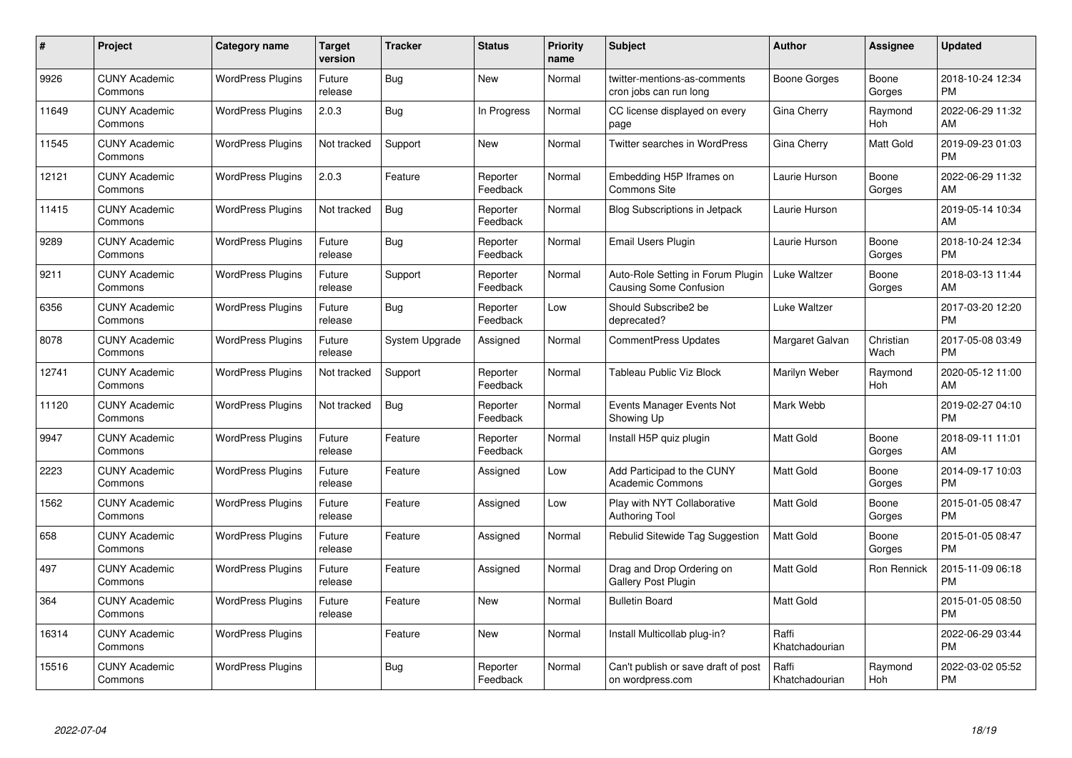| #     | Project                         | <b>Category name</b>     | <b>Target</b><br>version | <b>Tracker</b> | <b>Status</b>        | Priority<br>name | <b>Subject</b>                                              | <b>Author</b>           | <b>Assignee</b>   | <b>Updated</b>                |
|-------|---------------------------------|--------------------------|--------------------------|----------------|----------------------|------------------|-------------------------------------------------------------|-------------------------|-------------------|-------------------------------|
| 9926  | <b>CUNY Academic</b><br>Commons | <b>WordPress Plugins</b> | Future<br>release        | Bug            | <b>New</b>           | Normal           | twitter-mentions-as-comments<br>cron jobs can run long      | Boone Gorges            | Boone<br>Gorges   | 2018-10-24 12:34<br><b>PM</b> |
| 11649 | <b>CUNY Academic</b><br>Commons | <b>WordPress Plugins</b> | 2.0.3                    | <b>Bug</b>     | In Progress          | Normal           | CC license displayed on every<br>page                       | Gina Cherry             | Raymond<br>Hoh    | 2022-06-29 11:32<br>AM        |
| 11545 | <b>CUNY Academic</b><br>Commons | <b>WordPress Plugins</b> | Not tracked              | Support        | <b>New</b>           | Normal           | Twitter searches in WordPress                               | Gina Cherry             | Matt Gold         | 2019-09-23 01:03<br><b>PM</b> |
| 12121 | <b>CUNY Academic</b><br>Commons | <b>WordPress Plugins</b> | 2.0.3                    | Feature        | Reporter<br>Feedback | Normal           | Embedding H5P Iframes on<br><b>Commons Site</b>             | Laurie Hurson           | Boone<br>Gorges   | 2022-06-29 11:32<br>AM        |
| 11415 | <b>CUNY Academic</b><br>Commons | <b>WordPress Plugins</b> | Not tracked              | <b>Bug</b>     | Reporter<br>Feedback | Normal           | Blog Subscriptions in Jetpack                               | Laurie Hurson           |                   | 2019-05-14 10:34<br>AM        |
| 9289  | <b>CUNY Academic</b><br>Commons | <b>WordPress Plugins</b> | Future<br>release        | Bug            | Reporter<br>Feedback | Normal           | Email Users Plugin                                          | Laurie Hurson           | Boone<br>Gorges   | 2018-10-24 12:34<br><b>PM</b> |
| 9211  | <b>CUNY Academic</b><br>Commons | <b>WordPress Plugins</b> | Future<br>release        | Support        | Reporter<br>Feedback | Normal           | Auto-Role Setting in Forum Plugin<br>Causing Some Confusion | Luke Waltzer            | Boone<br>Gorges   | 2018-03-13 11:44<br>AM        |
| 6356  | <b>CUNY Academic</b><br>Commons | <b>WordPress Plugins</b> | Future<br>release        | Bug            | Reporter<br>Feedback | Low              | Should Subscribe2 be<br>deprecated?                         | Luke Waltzer            |                   | 2017-03-20 12:20<br><b>PM</b> |
| 8078  | <b>CUNY Academic</b><br>Commons | <b>WordPress Plugins</b> | Future<br>release        | System Upgrade | Assigned             | Normal           | <b>CommentPress Updates</b>                                 | Margaret Galvan         | Christian<br>Wach | 2017-05-08 03:49<br><b>PM</b> |
| 12741 | <b>CUNY Academic</b><br>Commons | <b>WordPress Plugins</b> | Not tracked              | Support        | Reporter<br>Feedback | Normal           | <b>Tableau Public Viz Block</b>                             | Marilyn Weber           | Raymond<br>Hoh    | 2020-05-12 11:00<br>AM        |
| 11120 | <b>CUNY Academic</b><br>Commons | <b>WordPress Plugins</b> | Not tracked              | Bug            | Reporter<br>Feedback | Normal           | Events Manager Events Not<br>Showing Up                     | Mark Webb               |                   | 2019-02-27 04:10<br><b>PM</b> |
| 9947  | <b>CUNY Academic</b><br>Commons | <b>WordPress Plugins</b> | Future<br>release        | Feature        | Reporter<br>Feedback | Normal           | Install H5P quiz plugin                                     | Matt Gold               | Boone<br>Gorges   | 2018-09-11 11:01<br>AM        |
| 2223  | <b>CUNY Academic</b><br>Commons | <b>WordPress Plugins</b> | Future<br>release        | Feature        | Assigned             | Low              | Add Participad to the CUNY<br><b>Academic Commons</b>       | Matt Gold               | Boone<br>Gorges   | 2014-09-17 10:03<br><b>PM</b> |
| 1562  | <b>CUNY Academic</b><br>Commons | <b>WordPress Plugins</b> | Future<br>release        | Feature        | Assigned             | Low              | Play with NYT Collaborative<br>Authoring Tool               | Matt Gold               | Boone<br>Gorges   | 2015-01-05 08:47<br><b>PM</b> |
| 658   | <b>CUNY Academic</b><br>Commons | <b>WordPress Plugins</b> | Future<br>release        | Feature        | Assigned             | Normal           | Rebulid Sitewide Tag Suggestion                             | <b>Matt Gold</b>        | Boone<br>Gorges   | 2015-01-05 08:47<br><b>PM</b> |
| 497   | <b>CUNY Academic</b><br>Commons | <b>WordPress Plugins</b> | Future<br>release        | Feature        | Assigned             | Normal           | Drag and Drop Ordering on<br>Gallery Post Plugin            | <b>Matt Gold</b>        | Ron Rennick       | 2015-11-09 06:18<br><b>PM</b> |
| 364   | <b>CUNY Academic</b><br>Commons | <b>WordPress Plugins</b> | Future<br>release        | Feature        | New                  | Normal           | <b>Bulletin Board</b>                                       | <b>Matt Gold</b>        |                   | 2015-01-05 08:50<br><b>PM</b> |
| 16314 | <b>CUNY Academic</b><br>Commons | <b>WordPress Plugins</b> |                          | Feature        | New                  | Normal           | Install Multicollab plug-in?                                | Raffi<br>Khatchadourian |                   | 2022-06-29 03:44<br><b>PM</b> |
| 15516 | <b>CUNY Academic</b><br>Commons | <b>WordPress Plugins</b> |                          | <b>Bug</b>     | Reporter<br>Feedback | Normal           | Can't publish or save draft of post<br>on wordpress.com     | Raffi<br>Khatchadourian | Raymond<br>Hoh    | 2022-03-02 05:52<br><b>PM</b> |